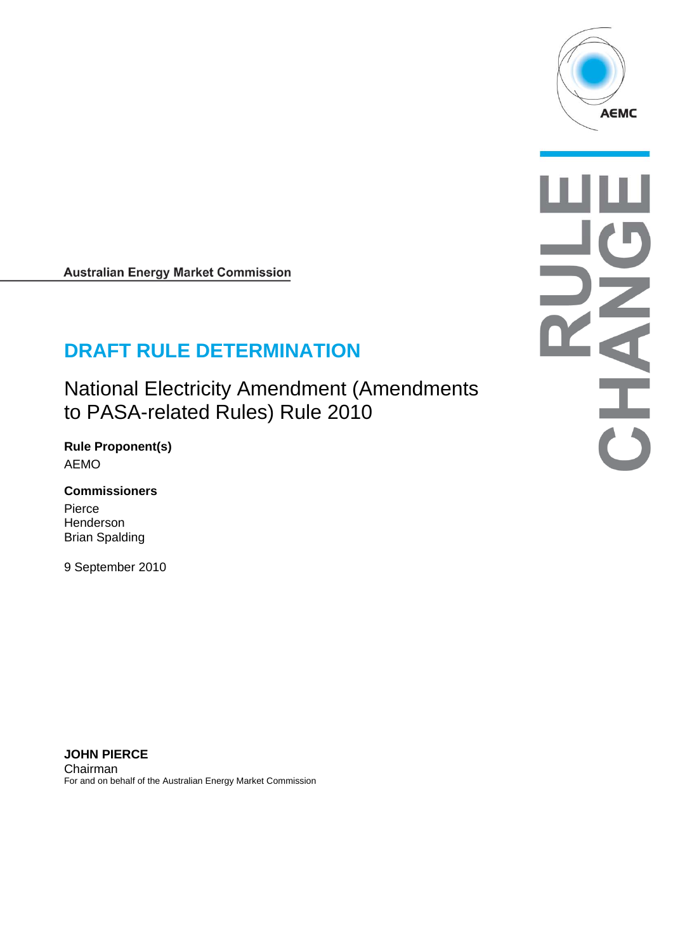

**Australian Energy Market Commission** 

# **DRAFT RULE DETERMINATION**

National Electricity Amendment (Amendments to PASA-related Rules) Rule 2010

**Rule Proponent(s)**  AEMO

**Commissioners**  Pierce

Henderson Brian Spalding

9 September 2010

**JOHN PIERCE**  Chairman For and on behalf of the Australian Energy Market Commission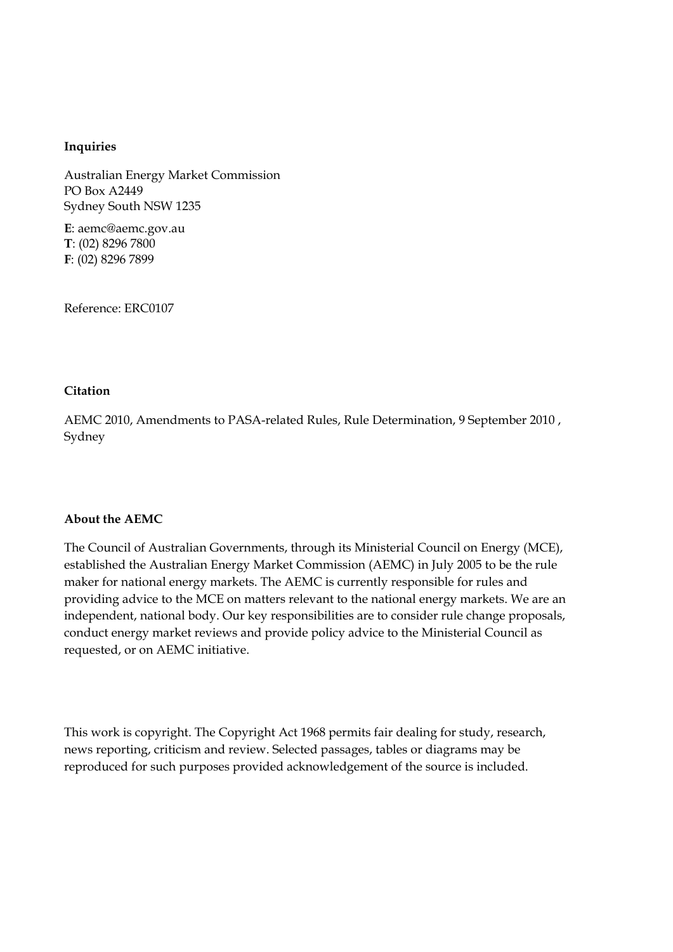#### **Inquiries**

Australian Energy Market Commission PO Box A2449 Sydney South NSW 1235

**E**: aemc@aemc.gov.au **T**: (02) 8296 7800 **F**: (02) 8296 7899

Reference: ERC0107

#### **Citation**

AEMC 2010, Amendments to PASA-related Rules, Rule Determination, 9 September 2010 , Sydney

#### **About the AEMC**

The Council of Australian Governments, through its Ministerial Council on Energy (MCE), established the Australian Energy Market Commission (AEMC) in July 2005 to be the rule maker for national energy markets. The AEMC is currently responsible for rules and providing advice to the MCE on matters relevant to the national energy markets. We are an independent, national body. Our key responsibilities are to consider rule change proposals, conduct energy market reviews and provide policy advice to the Ministerial Council as requested, or on AEMC initiative.

This work is copyright. The Copyright Act 1968 permits fair dealing for study, research, news reporting, criticism and review. Selected passages, tables or diagrams may be reproduced for such purposes provided acknowledgement of the source is included.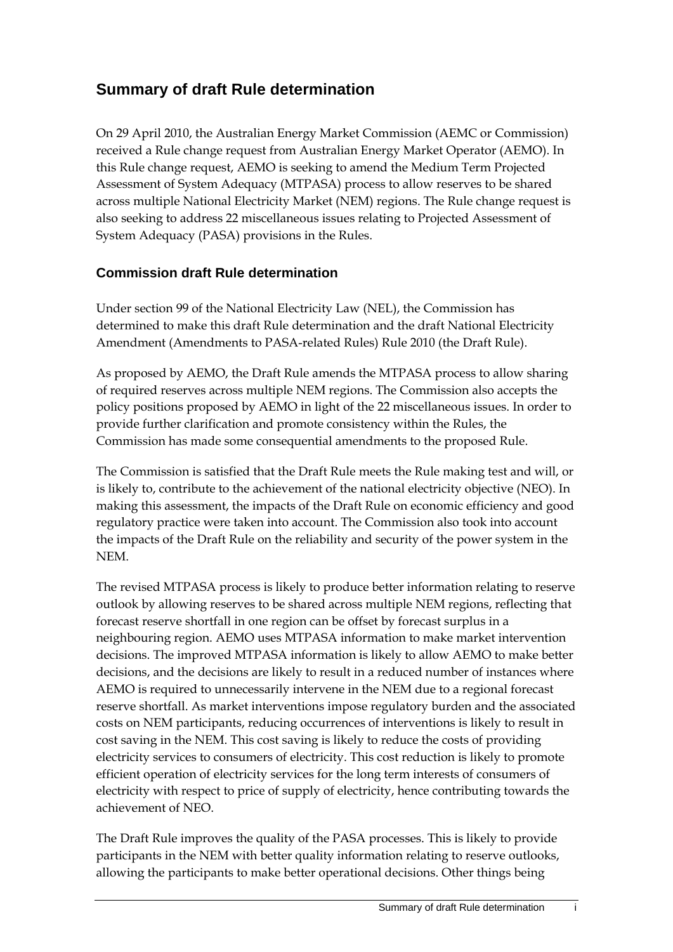# **Summary of draft Rule determination**

On 29 April 2010, the Australian Energy Market Commission (AEMC or Commission) received a Rule change request from Australian Energy Market Operator (AEMO). In this Rule change request, AEMO is seeking to amend the Medium Term Projected Assessment of System Adequacy (MTPASA) process to allow reserves to be shared across multiple National Electricity Market (NEM) regions. The Rule change request is also seeking to address 22 miscellaneous issues relating to Projected Assessment of System Adequacy (PASA) provisions in the Rules.

#### **Commission draft Rule determination**

Under section 99 of the National Electricity Law (NEL), the Commission has determined to make this draft Rule determination and the draft National Electricity Amendment (Amendments to PASA-related Rules) Rule 2010 (the Draft Rule).

As proposed by AEMO, the Draft Rule amends the MTPASA process to allow sharing of required reserves across multiple NEM regions. The Commission also accepts the policy positions proposed by AEMO in light of the 22 miscellaneous issues. In order to provide further clarification and promote consistency within the Rules, the Commission has made some consequential amendments to the proposed Rule.

The Commission is satisfied that the Draft Rule meets the Rule making test and will, or is likely to, contribute to the achievement of the national electricity objective (NEO). In making this assessment, the impacts of the Draft Rule on economic efficiency and good regulatory practice were taken into account. The Commission also took into account the impacts of the Draft Rule on the reliability and security of the power system in the NEM.

The revised MTPASA process is likely to produce better information relating to reserve outlook by allowing reserves to be shared across multiple NEM regions, reflecting that forecast reserve shortfall in one region can be offset by forecast surplus in a neighbouring region. AEMO uses MTPASA information to make market intervention decisions. The improved MTPASA information is likely to allow AEMO to make better decisions, and the decisions are likely to result in a reduced number of instances where AEMO is required to unnecessarily intervene in the NEM due to a regional forecast reserve shortfall. As market interventions impose regulatory burden and the associated costs on NEM participants, reducing occurrences of interventions is likely to result in cost saving in the NEM. This cost saving is likely to reduce the costs of providing electricity services to consumers of electricity. This cost reduction is likely to promote efficient operation of electricity services for the long term interests of consumers of electricity with respect to price of supply of electricity, hence contributing towards the achievement of NEO.

The Draft Rule improves the quality of the PASA processes. This is likely to provide participants in the NEM with better quality information relating to reserve outlooks, allowing the participants to make better operational decisions. Other things being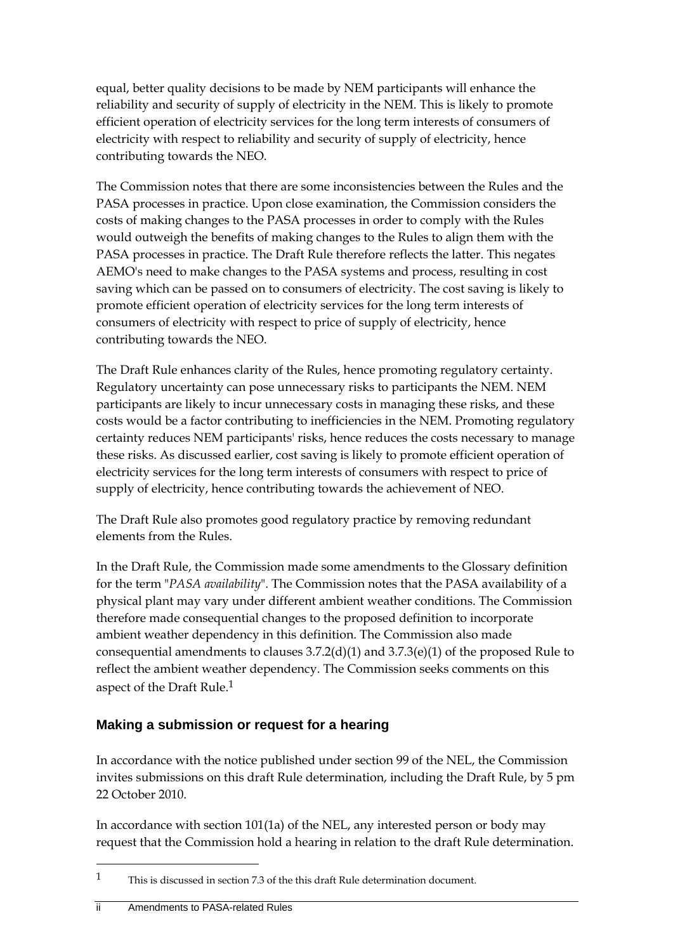equal, better quality decisions to be made by NEM participants will enhance the reliability and security of supply of electricity in the NEM. This is likely to promote efficient operation of electricity services for the long term interests of consumers of electricity with respect to reliability and security of supply of electricity, hence contributing towards the NEO.

The Commission notes that there are some inconsistencies between the Rules and the PASA processes in practice. Upon close examination, the Commission considers the costs of making changes to the PASA processes in order to comply with the Rules would outweigh the benefits of making changes to the Rules to align them with the PASA processes in practice. The Draft Rule therefore reflects the latter. This negates AEMO's need to make changes to the PASA systems and process, resulting in cost saving which can be passed on to consumers of electricity. The cost saving is likely to promote efficient operation of electricity services for the long term interests of consumers of electricity with respect to price of supply of electricity, hence contributing towards the NEO.

The Draft Rule enhances clarity of the Rules, hence promoting regulatory certainty. Regulatory uncertainty can pose unnecessary risks to participants the NEM. NEM participants are likely to incur unnecessary costs in managing these risks, and these costs would be a factor contributing to inefficiencies in the NEM. Promoting regulatory certainty reduces NEM participants' risks, hence reduces the costs necessary to manage these risks. As discussed earlier, cost saving is likely to promote efficient operation of electricity services for the long term interests of consumers with respect to price of supply of electricity, hence contributing towards the achievement of NEO.

The Draft Rule also promotes good regulatory practice by removing redundant elements from the Rules.

In the Draft Rule, the Commission made some amendments to the Glossary definition for the term "*PASA availability*". The Commission notes that the PASA availability of a physical plant may vary under different ambient weather conditions. The Commission therefore made consequential changes to the proposed definition to incorporate ambient weather dependency in this definition. The Commission also made consequential amendments to clauses 3.7.2(d)(1) and 3.7.3(e)(1) of the proposed Rule to reflect the ambient weather dependency. The Commission seeks comments on this aspect of the Draft Rule.1

#### **Making a submission or request for a hearing**

In accordance with the notice published under section 99 of the NEL, the Commission invites submissions on this draft Rule determination, including the Draft Rule, by 5 pm 22 October 2010.

In accordance with section 101(1a) of the NEL, any interested person or body may request that the Commission hold a hearing in relation to the draft Rule determination.

<sup>1</sup> This is discussed in section 7.3 of the this draft Rule determination document.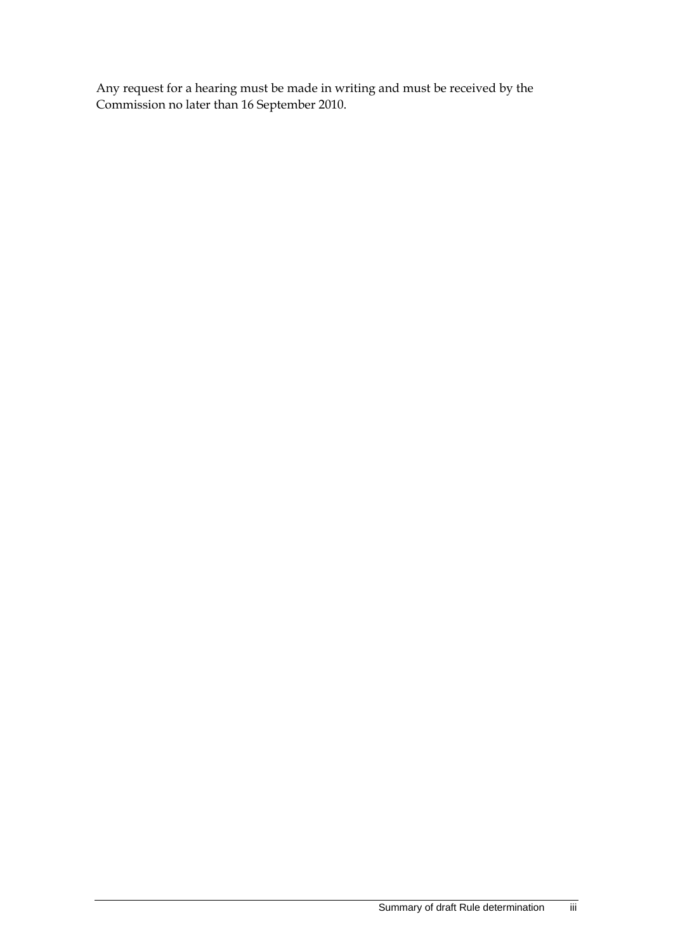Any request for a hearing must be made in writing and must be received by the Commission no later than 16 September 2010.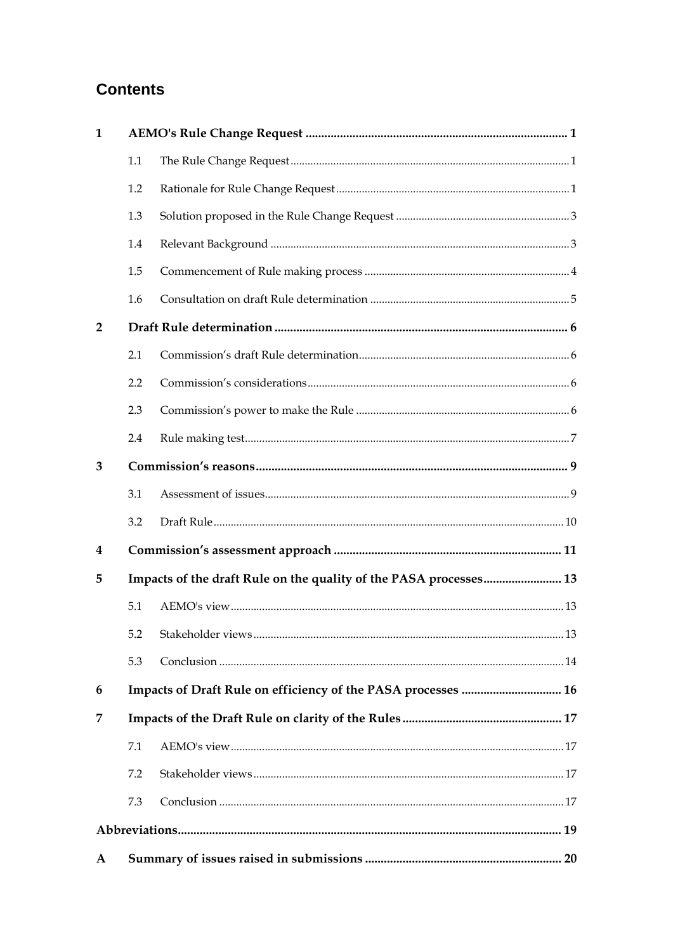# **Contents**

| 1              |     |                                                                   |
|----------------|-----|-------------------------------------------------------------------|
|                | 1.1 |                                                                   |
|                | 1.2 |                                                                   |
|                | 1.3 |                                                                   |
|                | 1.4 |                                                                   |
|                | 1.5 |                                                                   |
|                | 1.6 |                                                                   |
| $\overline{2}$ |     |                                                                   |
|                | 2.1 |                                                                   |
|                | 2.2 |                                                                   |
|                | 2.3 |                                                                   |
|                | 2.4 |                                                                   |
| 3              |     |                                                                   |
|                | 3.1 |                                                                   |
|                | 3.2 |                                                                   |
| 4              |     |                                                                   |
| 5              |     | Impacts of the draft Rule on the quality of the PASA processes 13 |
|                | 5.1 |                                                                   |
|                |     |                                                                   |
|                | 5.3 |                                                                   |
| 6              |     |                                                                   |
| 7              |     |                                                                   |
|                | 7.1 |                                                                   |
|                | 7.2 |                                                                   |
|                | 7.3 |                                                                   |
|                |     |                                                                   |
| $\mathbf{A}$   |     |                                                                   |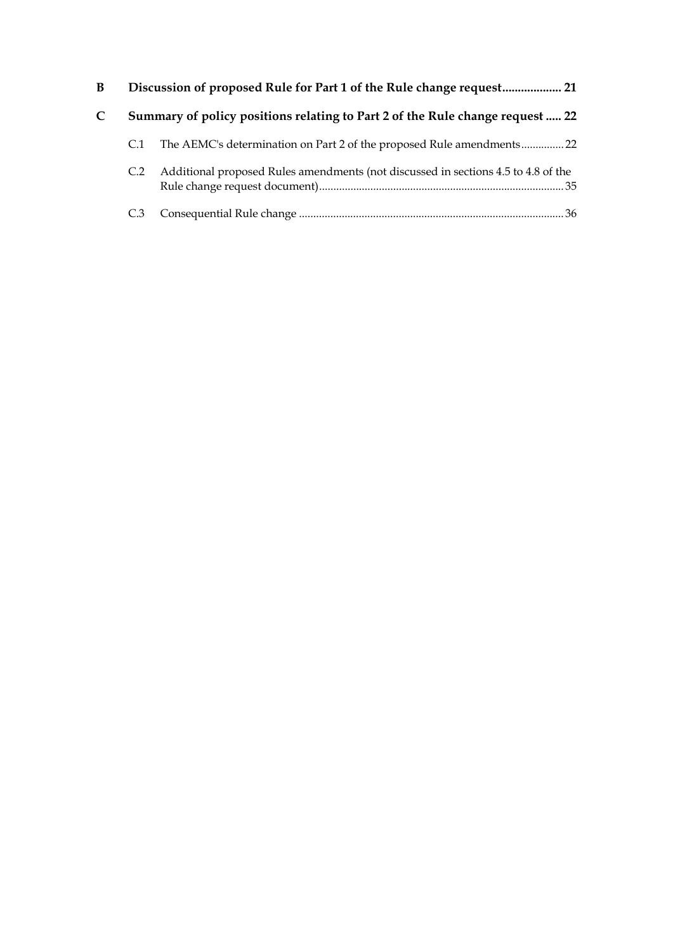| B |     |                                                                                   |
|---|-----|-----------------------------------------------------------------------------------|
| C |     | Summary of policy positions relating to Part 2 of the Rule change request  22     |
|   |     | The AEMC's determination on Part 2 of the proposed Rule amendments22              |
|   | C.2 | Additional proposed Rules amendments (not discussed in sections 4.5 to 4.8 of the |
|   |     |                                                                                   |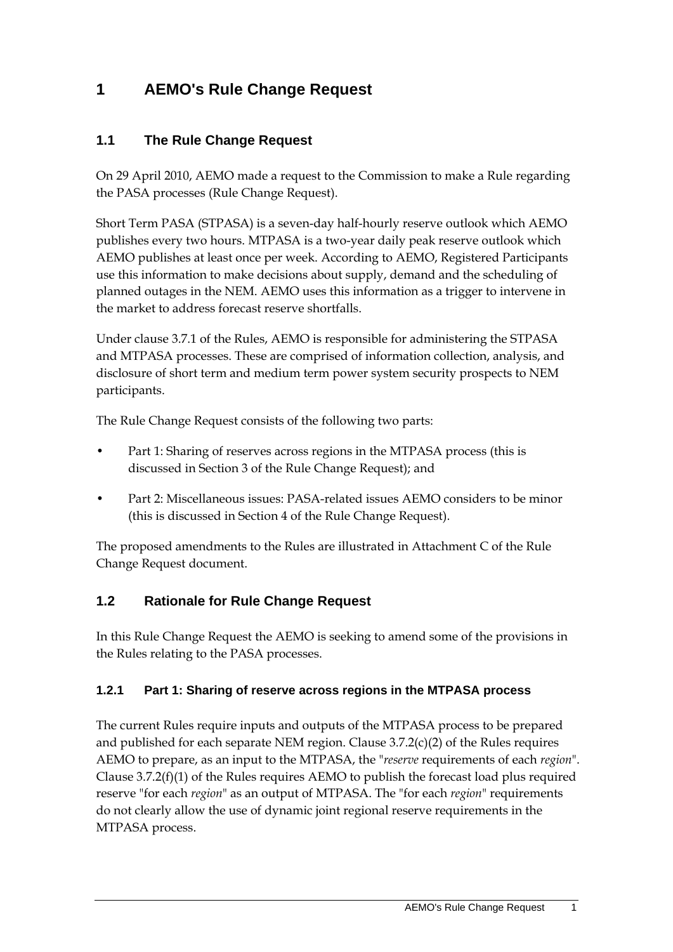# **1 AEMO's Rule Change Request**

### **1.1 The Rule Change Request**

On 29 April 2010, AEMO made a request to the Commission to make a Rule regarding the PASA processes (Rule Change Request).

Short Term PASA (STPASA) is a seven-day half-hourly reserve outlook which AEMO publishes every two hours. MTPASA is a two-year daily peak reserve outlook which AEMO publishes at least once per week. According to AEMO, Registered Participants use this information to make decisions about supply, demand and the scheduling of planned outages in the NEM. AEMO uses this information as a trigger to intervene in the market to address forecast reserve shortfalls.

Under clause 3.7.1 of the Rules, AEMO is responsible for administering the STPASA and MTPASA processes. These are comprised of information collection, analysis, and disclosure of short term and medium term power system security prospects to NEM participants.

The Rule Change Request consists of the following two parts:

- Part 1: Sharing of reserves across regions in the MTPASA process (this is discussed in Section 3 of the Rule Change Request); and
- Part 2: Miscellaneous issues: PASA-related issues AEMO considers to be minor (this is discussed in Section 4 of the Rule Change Request).

The proposed amendments to the Rules are illustrated in Attachment C of the Rule Change Request document.

### **1.2 Rationale for Rule Change Request**

In this Rule Change Request the AEMO is seeking to amend some of the provisions in the Rules relating to the PASA processes.

### **1.2.1 Part 1: Sharing of reserve across regions in the MTPASA process**

The current Rules require inputs and outputs of the MTPASA process to be prepared and published for each separate NEM region. Clause 3.7.2(c)(2) of the Rules requires AEMO to prepare, as an input to the MTPASA, the "*reserve* requirements of each *region*". Clause 3.7.2(f)(1) of the Rules requires AEMO to publish the forecast load plus required reserve "for each *region*" as an output of MTPASA. The "for each *region*" requirements do not clearly allow the use of dynamic joint regional reserve requirements in the MTPASA process.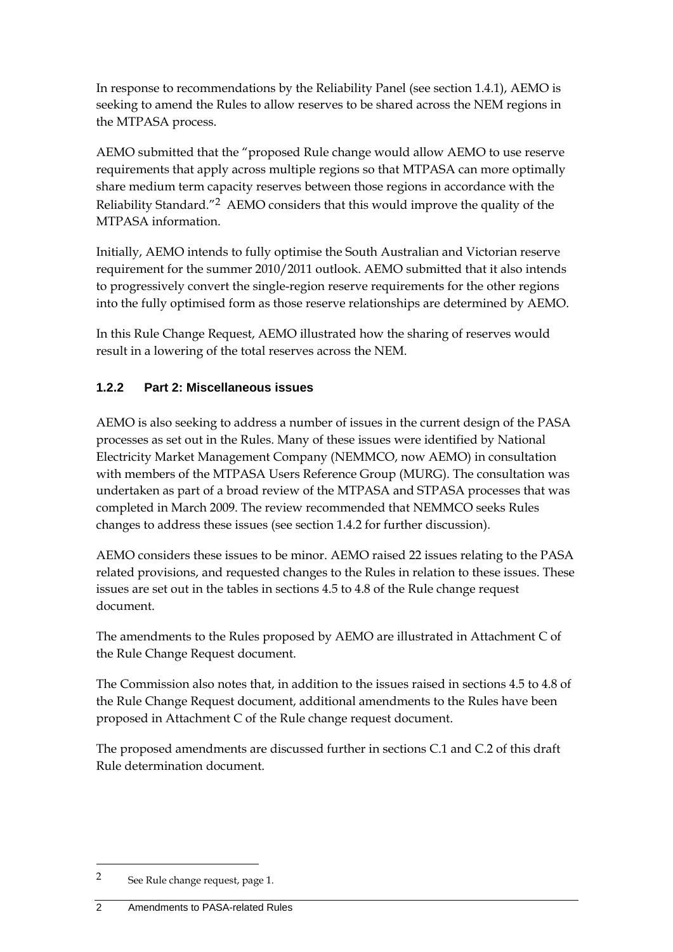In response to recommendations by the Reliability Panel (see section 1.4.1), AEMO is seeking to amend the Rules to allow reserves to be shared across the NEM regions in the MTPASA process.

AEMO submitted that the "proposed Rule change would allow AEMO to use reserve requirements that apply across multiple regions so that MTPASA can more optimally share medium term capacity reserves between those regions in accordance with the Reliability Standard."2 AEMO considers that this would improve the quality of the MTPASA information.

Initially, AEMO intends to fully optimise the South Australian and Victorian reserve requirement for the summer 2010/2011 outlook. AEMO submitted that it also intends to progressively convert the single-region reserve requirements for the other regions into the fully optimised form as those reserve relationships are determined by AEMO.

In this Rule Change Request, AEMO illustrated how the sharing of reserves would result in a lowering of the total reserves across the NEM.

#### **1.2.2 Part 2: Miscellaneous issues**

AEMO is also seeking to address a number of issues in the current design of the PASA processes as set out in the Rules. Many of these issues were identified by National Electricity Market Management Company (NEMMCO, now AEMO) in consultation with members of the MTPASA Users Reference Group (MURG). The consultation was undertaken as part of a broad review of the MTPASA and STPASA processes that was completed in March 2009. The review recommended that NEMMCO seeks Rules changes to address these issues (see section 1.4.2 for further discussion).

AEMO considers these issues to be minor. AEMO raised 22 issues relating to the PASA related provisions, and requested changes to the Rules in relation to these issues. These issues are set out in the tables in sections 4.5 to 4.8 of the Rule change request document.

The amendments to the Rules proposed by AEMO are illustrated in Attachment C of the Rule Change Request document.

The Commission also notes that, in addition to the issues raised in sections 4.5 to 4.8 of the Rule Change Request document, additional amendments to the Rules have been proposed in Attachment C of the Rule change request document.

The proposed amendments are discussed further in sections C.1 and C.2 of this draft Rule determination document.

<sup>2</sup> See Rule change request, page 1.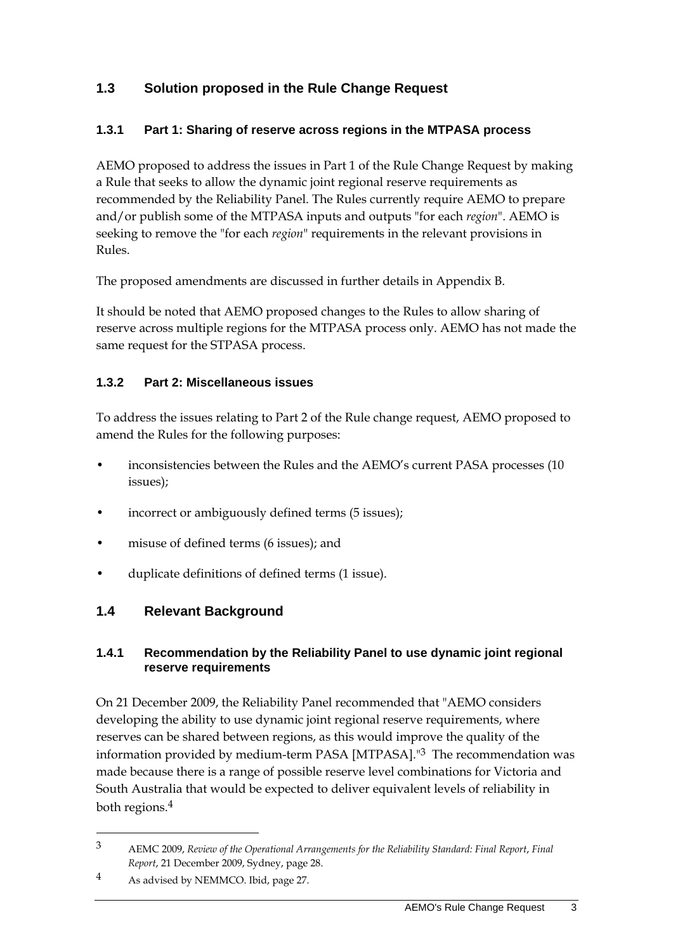### **1.3 Solution proposed in the Rule Change Request**

#### **1.3.1 Part 1: Sharing of reserve across regions in the MTPASA process**

AEMO proposed to address the issues in Part 1 of the Rule Change Request by making a Rule that seeks to allow the dynamic joint regional reserve requirements as recommended by the Reliability Panel. The Rules currently require AEMO to prepare and/or publish some of the MTPASA inputs and outputs "for each *region*". AEMO is seeking to remove the "for each *region*" requirements in the relevant provisions in Rules.

The proposed amendments are discussed in further details in Appendix B.

It should be noted that AEMO proposed changes to the Rules to allow sharing of reserve across multiple regions for the MTPASA process only. AEMO has not made the same request for the STPASA process.

#### **1.3.2 Part 2: Miscellaneous issues**

To address the issues relating to Part 2 of the Rule change request, AEMO proposed to amend the Rules for the following purposes:

- inconsistencies between the Rules and the AEMO's current PASA processes (10 issues);
- incorrect or ambiguously defined terms (5 issues);
- misuse of defined terms (6 issues); and
- duplicate definitions of defined terms (1 issue).

### **1.4 Relevant Background**

#### **1.4.1 Recommendation by the Reliability Panel to use dynamic joint regional reserve requirements**

On 21 December 2009, the Reliability Panel recommended that "AEMO considers developing the ability to use dynamic joint regional reserve requirements, where reserves can be shared between regions, as this would improve the quality of the information provided by medium-term PASA [MTPASA]."3 The recommendation was made because there is a range of possible reserve level combinations for Victoria and South Australia that would be expected to deliver equivalent levels of reliability in both regions.4

<sup>3</sup> AEMC 2009, *Review of the Operational Arrangements for the Reliability Standard: Final Report*, *Final Report*, 21 December 2009, Sydney, page 28.

<sup>4</sup> As advised by NEMMCO. Ibid, page 27.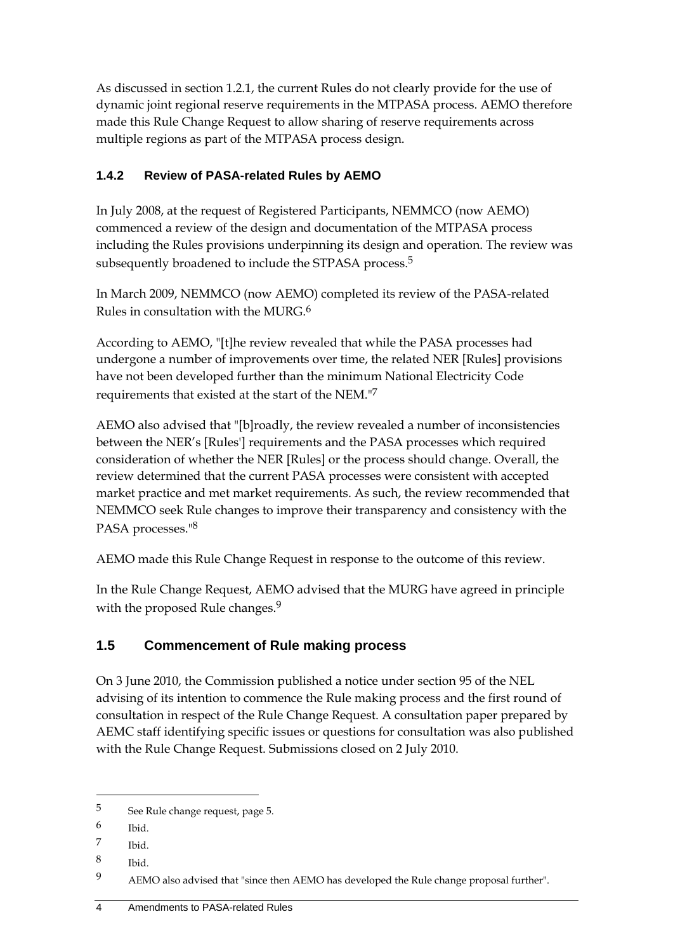As discussed in section 1.2.1, the current Rules do not clearly provide for the use of dynamic joint regional reserve requirements in the MTPASA process. AEMO therefore made this Rule Change Request to allow sharing of reserve requirements across multiple regions as part of the MTPASA process design.

### **1.4.2 Review of PASA-related Rules by AEMO**

In July 2008, at the request of Registered Participants, NEMMCO (now AEMO) commenced a review of the design and documentation of the MTPASA process including the Rules provisions underpinning its design and operation. The review was subsequently broadened to include the STPASA process.<sup>5</sup>

In March 2009, NEMMCO (now AEMO) completed its review of the PASA-related Rules in consultation with the MURG.6

According to AEMO, "[t]he review revealed that while the PASA processes had undergone a number of improvements over time, the related NER [Rules] provisions have not been developed further than the minimum National Electricity Code requirements that existed at the start of the NEM."7

AEMO also advised that "[b]roadly, the review revealed a number of inconsistencies between the NER's [Rules'] requirements and the PASA processes which required consideration of whether the NER [Rules] or the process should change. Overall, the review determined that the current PASA processes were consistent with accepted market practice and met market requirements. As such, the review recommended that NEMMCO seek Rule changes to improve their transparency and consistency with the PASA processes."8

AEMO made this Rule Change Request in response to the outcome of this review.

In the Rule Change Request, AEMO advised that the MURG have agreed in principle with the proposed Rule changes.<sup>9</sup>

## **1.5 Commencement of Rule making process**

On 3 June 2010, the Commission published a notice under section 95 of the NEL advising of its intention to commence the Rule making process and the first round of consultation in respect of the Rule Change Request. A consultation paper prepared by AEMC staff identifying specific issues or questions for consultation was also published with the Rule Change Request. Submissions closed on 2 July 2010.

<sup>5</sup> See Rule change request, page 5.

<sup>6</sup> Ibid.

<sup>7</sup> Ibid.

<sup>8</sup> Ibid.

<sup>9</sup> AEMO also advised that "since then AEMO has developed the Rule change proposal further".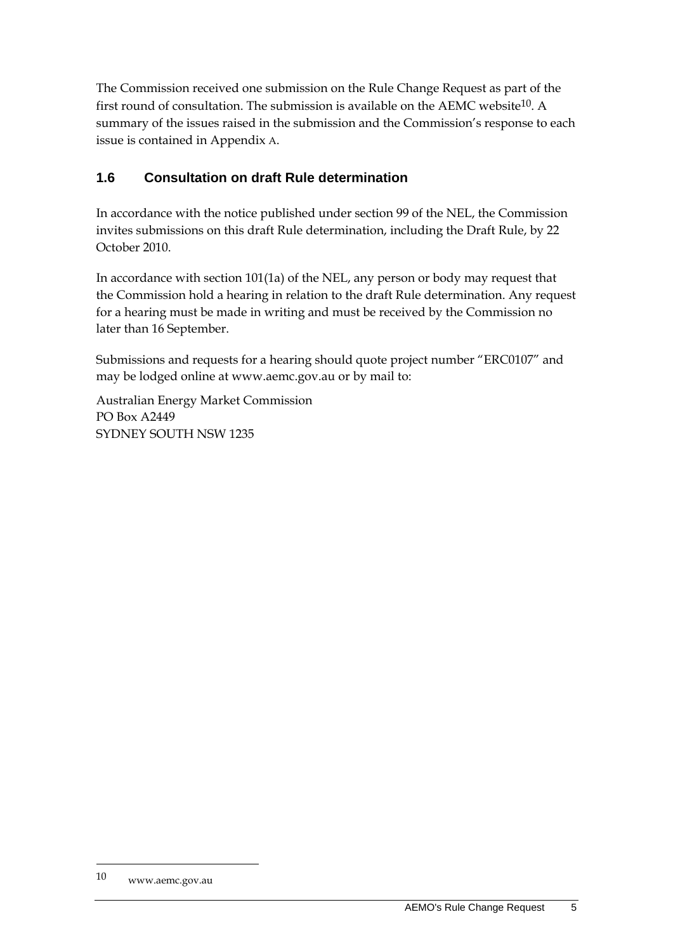The Commission received one submission on the Rule Change Request as part of the first round of consultation. The submission is available on the AEMC website<sup>10</sup>. A summary of the issues raised in the submission and the Commission's response to each issue is contained in Appendix A.

### **1.6 Consultation on draft Rule determination**

In accordance with the notice published under section 99 of the NEL, the Commission invites submissions on this draft Rule determination, including the Draft Rule, by 22 October 2010.

In accordance with section 101(1a) of the NEL, any person or body may request that the Commission hold a hearing in relation to the draft Rule determination. Any request for a hearing must be made in writing and must be received by the Commission no later than 16 September.

Submissions and requests for a hearing should quote project number "ERC0107" and may be lodged online at www.aemc.gov.au or by mail to:

Australian Energy Market Commission PO Box A2449 SYDNEY SOUTH NSW 1235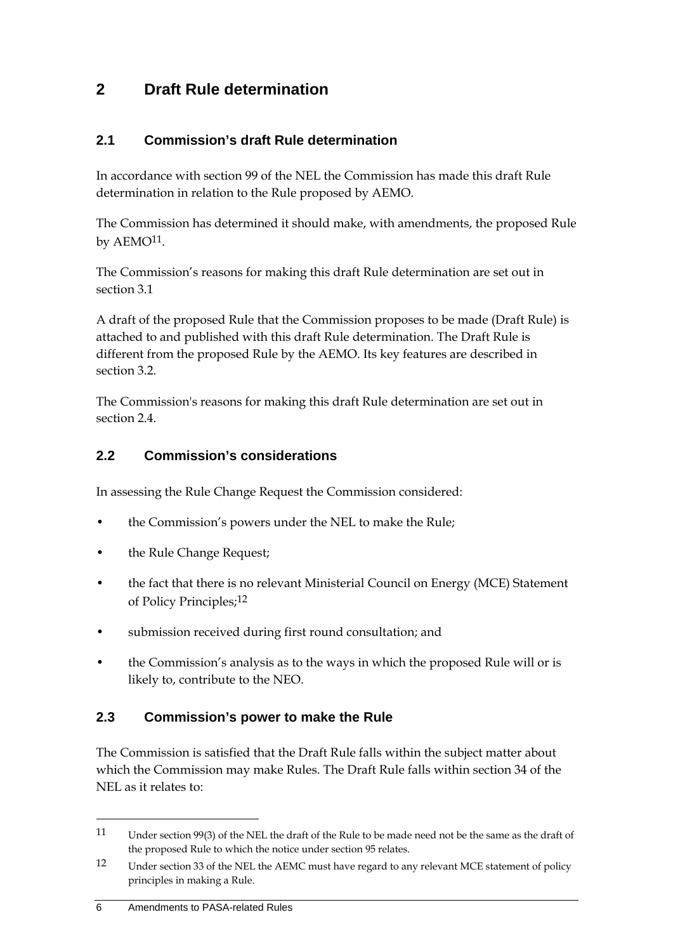# **2 Draft Rule determination**

### **2.1 Commission's draft Rule determination**

In accordance with section 99 of the NEL the Commission has made this draft Rule determination in relation to the Rule proposed by AEMO.

The Commission has determined it should make, with amendments, the proposed Rule by AEMO<sup>11</sup>.

The Commission's reasons for making this draft Rule determination are set out in section 3.1

A draft of the proposed Rule that the Commission proposes to be made (Draft Rule) is attached to and published with this draft Rule determination. The Draft Rule is different from the proposed Rule by the AEMO. Its key features are described in section 3.2.

The Commission's reasons for making this draft Rule determination are set out in section 2.4.

### **2.2 Commission's considerations**

In assessing the Rule Change Request the Commission considered:

- the Commission's powers under the NEL to make the Rule;
- the Rule Change Request;
- the fact that there is no relevant Ministerial Council on Energy (MCE) Statement of Policy Principles;12
- submission received during first round consultation; and
- the Commission's analysis as to the ways in which the proposed Rule will or is likely to, contribute to the NEO.

### **2.3 Commission's power to make the Rule**

The Commission is satisfied that the Draft Rule falls within the subject matter about which the Commission may make Rules. The Draft Rule falls within section 34 of the NEL as it relates to:

<sup>11</sup> Under section 99(3) of the NEL the draft of the Rule to be made need not be the same as the draft of the proposed Rule to which the notice under section 95 relates.

<sup>12</sup> Under section 33 of the NEL the AEMC must have regard to any relevant MCE statement of policy principles in making a Rule.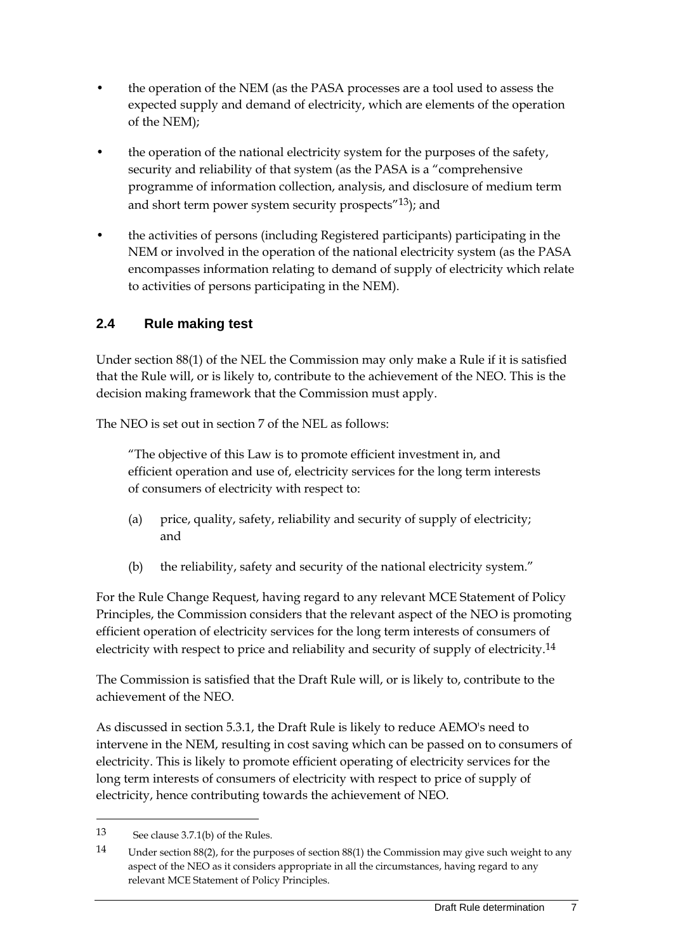- the operation of the NEM (as the PASA processes are a tool used to assess the expected supply and demand of electricity, which are elements of the operation of the NEM);
- the operation of the national electricity system for the purposes of the safety, security and reliability of that system (as the PASA is a "comprehensive programme of information collection, analysis, and disclosure of medium term and short term power system security prospects<sup>"13</sup>); and
- the activities of persons (including Registered participants) participating in the NEM or involved in the operation of the national electricity system (as the PASA encompasses information relating to demand of supply of electricity which relate to activities of persons participating in the NEM).

### **2.4 Rule making test**

Under section 88(1) of the NEL the Commission may only make a Rule if it is satisfied that the Rule will, or is likely to, contribute to the achievement of the NEO. This is the decision making framework that the Commission must apply.

The NEO is set out in section 7 of the NEL as follows:

"The objective of this Law is to promote efficient investment in, and efficient operation and use of, electricity services for the long term interests of consumers of electricity with respect to:

- (a) price, quality, safety, reliability and security of supply of electricity; and
- (b) the reliability, safety and security of the national electricity system."

For the Rule Change Request, having regard to any relevant MCE Statement of Policy Principles, the Commission considers that the relevant aspect of the NEO is promoting efficient operation of electricity services for the long term interests of consumers of electricity with respect to price and reliability and security of supply of electricity.14

The Commission is satisfied that the Draft Rule will, or is likely to, contribute to the achievement of the NEO.

As discussed in section 5.3.1, the Draft Rule is likely to reduce AEMO's need to intervene in the NEM, resulting in cost saving which can be passed on to consumers of electricity. This is likely to promote efficient operating of electricity services for the long term interests of consumers of electricity with respect to price of supply of electricity, hence contributing towards the achievement of NEO.

<sup>13</sup> See clause 3.7.1(b) of the Rules.

<sup>14</sup> Under section 88(2), for the purposes of section 88(1) the Commission may give such weight to any aspect of the NEO as it considers appropriate in all the circumstances, having regard to any relevant MCE Statement of Policy Principles.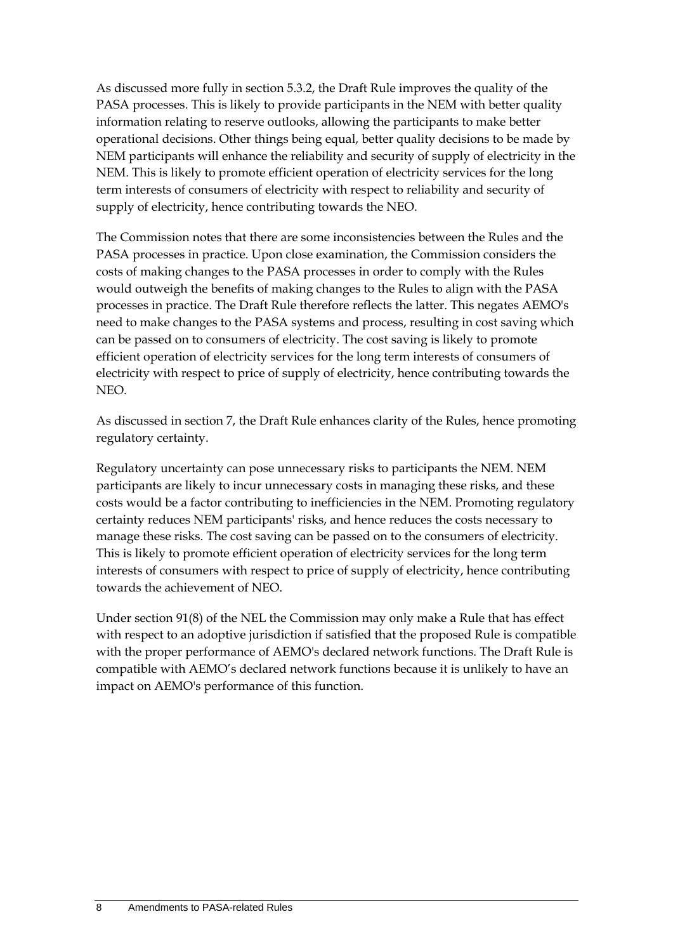As discussed more fully in section 5.3.2, the Draft Rule improves the quality of the PASA processes. This is likely to provide participants in the NEM with better quality information relating to reserve outlooks, allowing the participants to make better operational decisions. Other things being equal, better quality decisions to be made by NEM participants will enhance the reliability and security of supply of electricity in the NEM. This is likely to promote efficient operation of electricity services for the long term interests of consumers of electricity with respect to reliability and security of supply of electricity, hence contributing towards the NEO.

The Commission notes that there are some inconsistencies between the Rules and the PASA processes in practice. Upon close examination, the Commission considers the costs of making changes to the PASA processes in order to comply with the Rules would outweigh the benefits of making changes to the Rules to align with the PASA processes in practice. The Draft Rule therefore reflects the latter. This negates AEMO's need to make changes to the PASA systems and process, resulting in cost saving which can be passed on to consumers of electricity. The cost saving is likely to promote efficient operation of electricity services for the long term interests of consumers of electricity with respect to price of supply of electricity, hence contributing towards the NEO.

As discussed in section 7, the Draft Rule enhances clarity of the Rules, hence promoting regulatory certainty.

Regulatory uncertainty can pose unnecessary risks to participants the NEM. NEM participants are likely to incur unnecessary costs in managing these risks, and these costs would be a factor contributing to inefficiencies in the NEM. Promoting regulatory certainty reduces NEM participants' risks, and hence reduces the costs necessary to manage these risks. The cost saving can be passed on to the consumers of electricity. This is likely to promote efficient operation of electricity services for the long term interests of consumers with respect to price of supply of electricity, hence contributing towards the achievement of NEO.

Under section 91(8) of the NEL the Commission may only make a Rule that has effect with respect to an adoptive jurisdiction if satisfied that the proposed Rule is compatible with the proper performance of AEMO's declared network functions. The Draft Rule is compatible with AEMO's declared network functions because it is unlikely to have an impact on AEMO's performance of this function.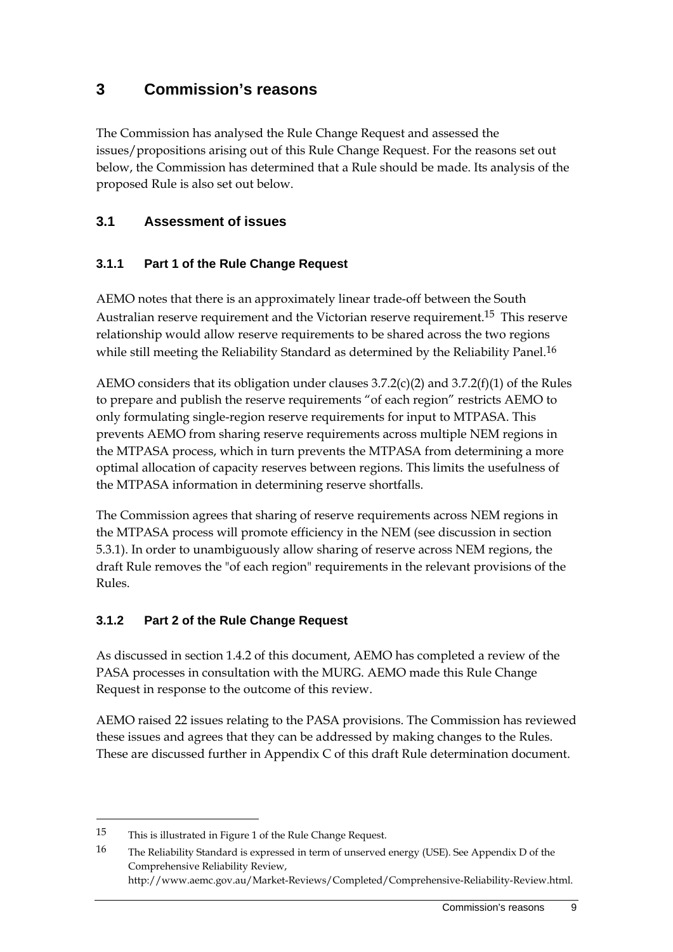# **3 Commission's reasons**

The Commission has analysed the Rule Change Request and assessed the issues/propositions arising out of this Rule Change Request. For the reasons set out below, the Commission has determined that a Rule should be made. Its analysis of the proposed Rule is also set out below.

#### **3.1 Assessment of issues**

#### **3.1.1 Part 1 of the Rule Change Request**

AEMO notes that there is an approximately linear trade-off between the South Australian reserve requirement and the Victorian reserve requirement.<sup>15</sup> This reserve relationship would allow reserve requirements to be shared across the two regions while still meeting the Reliability Standard as determined by the Reliability Panel.<sup>16</sup>

AEMO considers that its obligation under clauses  $3.7.2(c)(2)$  and  $3.7.2(f)(1)$  of the Rules to prepare and publish the reserve requirements "of each region" restricts AEMO to only formulating single-region reserve requirements for input to MTPASA. This prevents AEMO from sharing reserve requirements across multiple NEM regions in the MTPASA process, which in turn prevents the MTPASA from determining a more optimal allocation of capacity reserves between regions. This limits the usefulness of the MTPASA information in determining reserve shortfalls.

The Commission agrees that sharing of reserve requirements across NEM regions in the MTPASA process will promote efficiency in the NEM (see discussion in section 5.3.1). In order to unambiguously allow sharing of reserve across NEM regions, the draft Rule removes the "of each region" requirements in the relevant provisions of the Rules.

#### **3.1.2 Part 2 of the Rule Change Request**

As discussed in section 1.4.2 of this document, AEMO has completed a review of the PASA processes in consultation with the MURG. AEMO made this Rule Change Request in response to the outcome of this review.

AEMO raised 22 issues relating to the PASA provisions. The Commission has reviewed these issues and agrees that they can be addressed by making changes to the Rules. These are discussed further in Appendix C of this draft Rule determination document.

<sup>15</sup> This is illustrated in Figure 1 of the Rule Change Request.

<sup>16</sup> The Reliability Standard is expressed in term of unserved energy (USE). See Appendix D of the Comprehensive Reliability Review, http://www.aemc.gov.au/Market-Reviews/Completed/Comprehensive-Reliability-Review.html.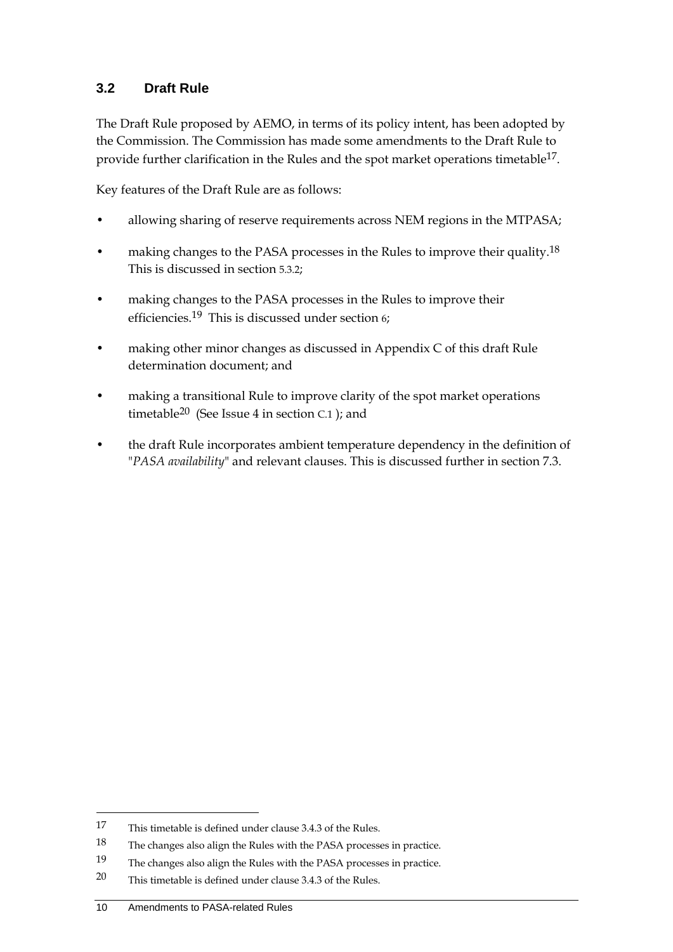#### **3.2 Draft Rule**

The Draft Rule proposed by AEMO, in terms of its policy intent, has been adopted by the Commission. The Commission has made some amendments to the Draft Rule to provide further clarification in the Rules and the spot market operations timetable<sup>17</sup>.

Key features of the Draft Rule are as follows:

- allowing sharing of reserve requirements across NEM regions in the MTPASA;
- making changes to the PASA processes in the Rules to improve their quality.<sup>18</sup> This is discussed in section 5.3.2;
- making changes to the PASA processes in the Rules to improve their efficiencies.19 This is discussed under section 6;
- making other minor changes as discussed in Appendix C of this draft Rule determination document; and
- making a transitional Rule to improve clarity of the spot market operations timetable20 (See Issue 4 in section C.1 ); and
- the draft Rule incorporates ambient temperature dependency in the definition of "*PASA availability*" and relevant clauses. This is discussed further in section 7.3.

<sup>17</sup> This timetable is defined under clause 3.4.3 of the Rules.

<sup>18</sup> The changes also align the Rules with the PASA processes in practice.

<sup>19</sup> The changes also align the Rules with the PASA processes in practice.

<sup>20</sup> This timetable is defined under clause 3.4.3 of the Rules.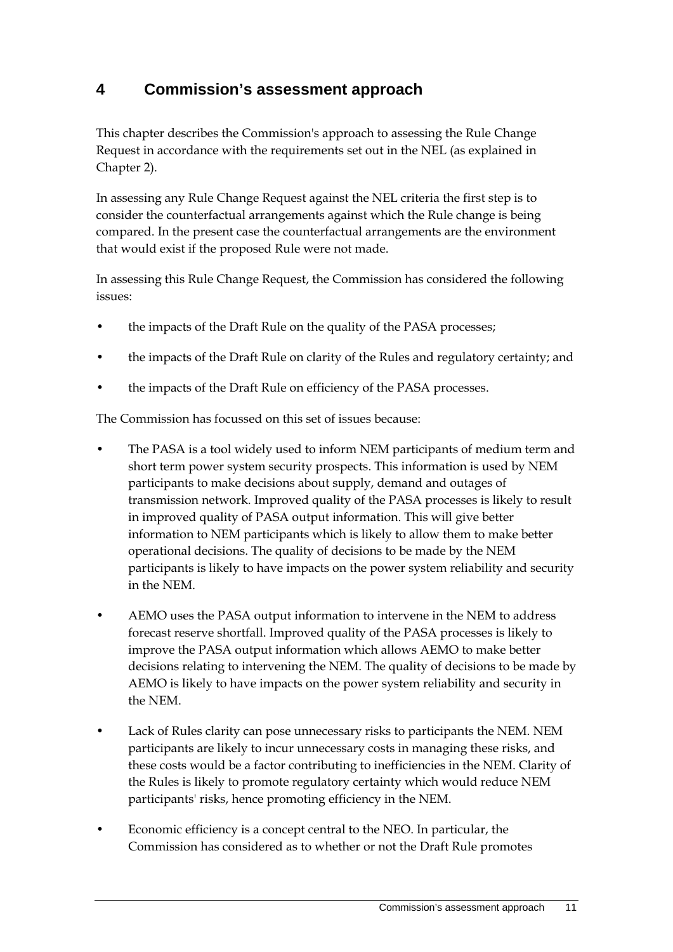# **4 Commission's assessment approach**

This chapter describes the Commission's approach to assessing the Rule Change Request in accordance with the requirements set out in the NEL (as explained in Chapter 2).

In assessing any Rule Change Request against the NEL criteria the first step is to consider the counterfactual arrangements against which the Rule change is being compared. In the present case the counterfactual arrangements are the environment that would exist if the proposed Rule were not made.

In assessing this Rule Change Request, the Commission has considered the following issues:

- the impacts of the Draft Rule on the quality of the PASA processes;
- the impacts of the Draft Rule on clarity of the Rules and regulatory certainty; and
- the impacts of the Draft Rule on efficiency of the PASA processes.

The Commission has focussed on this set of issues because:

- The PASA is a tool widely used to inform NEM participants of medium term and short term power system security prospects. This information is used by NEM participants to make decisions about supply, demand and outages of transmission network. Improved quality of the PASA processes is likely to result in improved quality of PASA output information. This will give better information to NEM participants which is likely to allow them to make better operational decisions. The quality of decisions to be made by the NEM participants is likely to have impacts on the power system reliability and security in the NEM.
- AEMO uses the PASA output information to intervene in the NEM to address forecast reserve shortfall. Improved quality of the PASA processes is likely to improve the PASA output information which allows AEMO to make better decisions relating to intervening the NEM. The quality of decisions to be made by AEMO is likely to have impacts on the power system reliability and security in the NEM.
- Lack of Rules clarity can pose unnecessary risks to participants the NEM. NEM participants are likely to incur unnecessary costs in managing these risks, and these costs would be a factor contributing to inefficiencies in the NEM. Clarity of the Rules is likely to promote regulatory certainty which would reduce NEM participants' risks, hence promoting efficiency in the NEM.
- Economic efficiency is a concept central to the NEO. In particular, the Commission has considered as to whether or not the Draft Rule promotes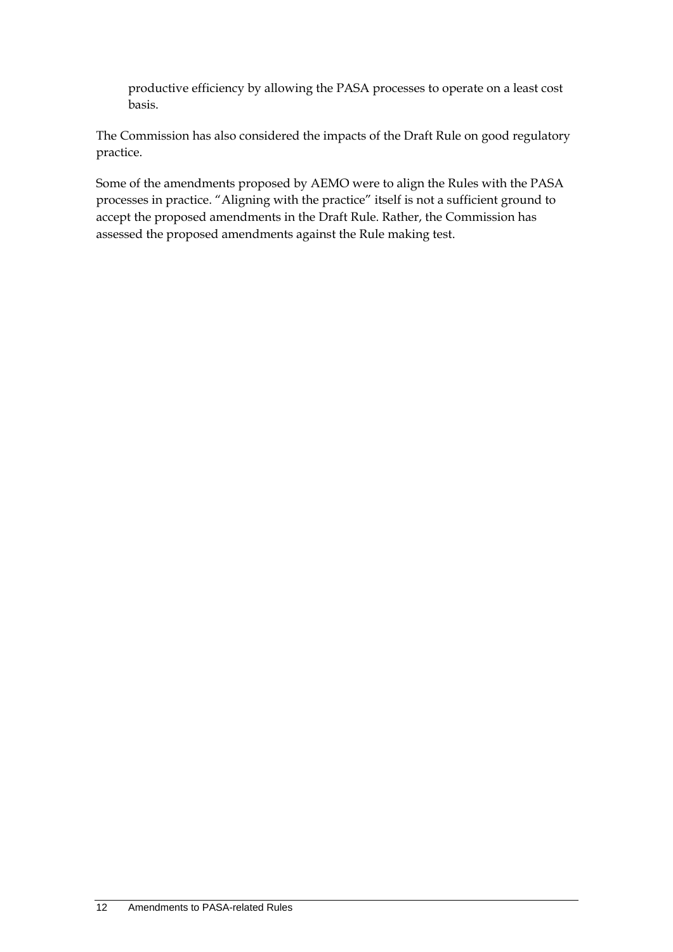productive efficiency by allowing the PASA processes to operate on a least cost basis.

The Commission has also considered the impacts of the Draft Rule on good regulatory practice.

Some of the amendments proposed by AEMO were to align the Rules with the PASA processes in practice. "Aligning with the practice" itself is not a sufficient ground to accept the proposed amendments in the Draft Rule. Rather, the Commission has assessed the proposed amendments against the Rule making test.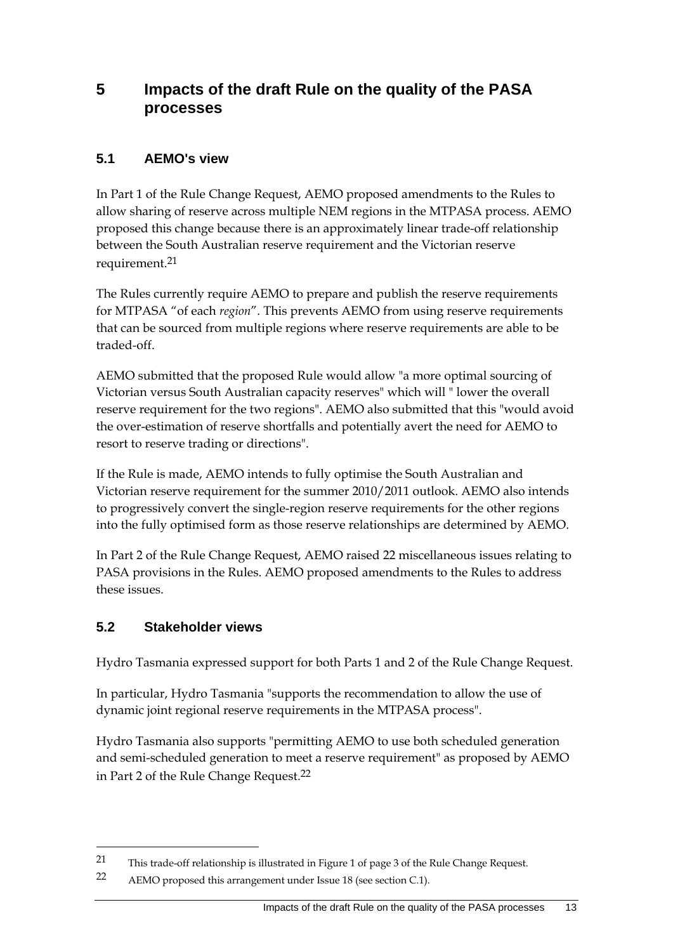## **5 Impacts of the draft Rule on the quality of the PASA processes**

### **5.1 AEMO's view**

In Part 1 of the Rule Change Request, AEMO proposed amendments to the Rules to allow sharing of reserve across multiple NEM regions in the MTPASA process. AEMO proposed this change because there is an approximately linear trade-off relationship between the South Australian reserve requirement and the Victorian reserve requirement.21

The Rules currently require AEMO to prepare and publish the reserve requirements for MTPASA "of each *region*". This prevents AEMO from using reserve requirements that can be sourced from multiple regions where reserve requirements are able to be traded-off.

AEMO submitted that the proposed Rule would allow "a more optimal sourcing of Victorian versus South Australian capacity reserves" which will " lower the overall reserve requirement for the two regions". AEMO also submitted that this "would avoid the over-estimation of reserve shortfalls and potentially avert the need for AEMO to resort to reserve trading or directions".

If the Rule is made, AEMO intends to fully optimise the South Australian and Victorian reserve requirement for the summer 2010/2011 outlook. AEMO also intends to progressively convert the single-region reserve requirements for the other regions into the fully optimised form as those reserve relationships are determined by AEMO.

In Part 2 of the Rule Change Request, AEMO raised 22 miscellaneous issues relating to PASA provisions in the Rules. AEMO proposed amendments to the Rules to address these issues.

### **5.2 Stakeholder views**

<u>.</u>

Hydro Tasmania expressed support for both Parts 1 and 2 of the Rule Change Request.

In particular, Hydro Tasmania "supports the recommendation to allow the use of dynamic joint regional reserve requirements in the MTPASA process".

Hydro Tasmania also supports "permitting AEMO to use both scheduled generation and semi-scheduled generation to meet a reserve requirement" as proposed by AEMO in Part 2 of the Rule Change Request.22

<sup>21</sup> This trade-off relationship is illustrated in Figure 1 of page 3 of the Rule Change Request.

<sup>22</sup> AEMO proposed this arrangement under Issue 18 (see section C.1).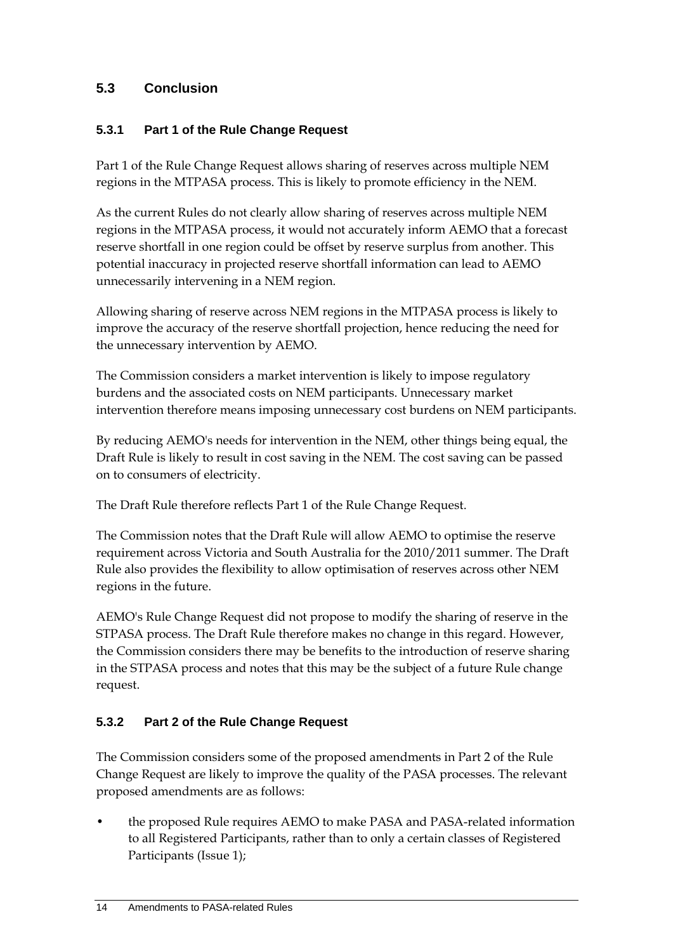### **5.3 Conclusion**

#### **5.3.1 Part 1 of the Rule Change Request**

Part 1 of the Rule Change Request allows sharing of reserves across multiple NEM regions in the MTPASA process. This is likely to promote efficiency in the NEM.

As the current Rules do not clearly allow sharing of reserves across multiple NEM regions in the MTPASA process, it would not accurately inform AEMO that a forecast reserve shortfall in one region could be offset by reserve surplus from another. This potential inaccuracy in projected reserve shortfall information can lead to AEMO unnecessarily intervening in a NEM region.

Allowing sharing of reserve across NEM regions in the MTPASA process is likely to improve the accuracy of the reserve shortfall projection, hence reducing the need for the unnecessary intervention by AEMO.

The Commission considers a market intervention is likely to impose regulatory burdens and the associated costs on NEM participants. Unnecessary market intervention therefore means imposing unnecessary cost burdens on NEM participants.

By reducing AEMO's needs for intervention in the NEM, other things being equal, the Draft Rule is likely to result in cost saving in the NEM. The cost saving can be passed on to consumers of electricity.

The Draft Rule therefore reflects Part 1 of the Rule Change Request.

The Commission notes that the Draft Rule will allow AEMO to optimise the reserve requirement across Victoria and South Australia for the 2010/2011 summer. The Draft Rule also provides the flexibility to allow optimisation of reserves across other NEM regions in the future.

AEMO's Rule Change Request did not propose to modify the sharing of reserve in the STPASA process. The Draft Rule therefore makes no change in this regard. However, the Commission considers there may be benefits to the introduction of reserve sharing in the STPASA process and notes that this may be the subject of a future Rule change request.

### **5.3.2 Part 2 of the Rule Change Request**

The Commission considers some of the proposed amendments in Part 2 of the Rule Change Request are likely to improve the quality of the PASA processes. The relevant proposed amendments are as follows:

• the proposed Rule requires AEMO to make PASA and PASA-related information to all Registered Participants, rather than to only a certain classes of Registered Participants (Issue 1);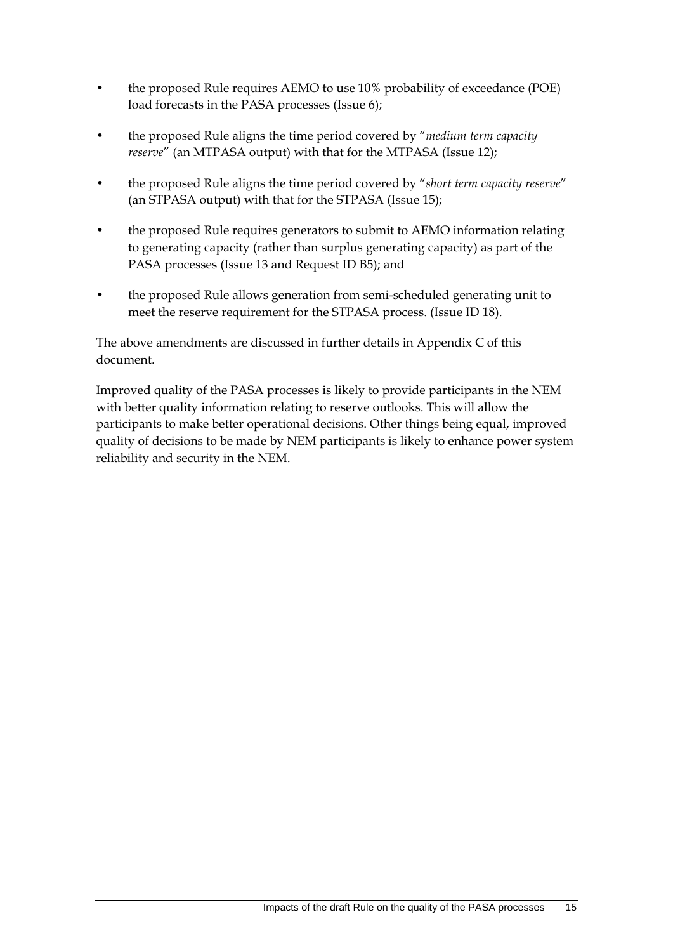- the proposed Rule requires AEMO to use 10% probability of exceedance (POE) load forecasts in the PASA processes (Issue 6);
- the proposed Rule aligns the time period covered by "*medium term capacity reserve*" (an MTPASA output) with that for the MTPASA (Issue 12);
- the proposed Rule aligns the time period covered by "*short term capacity reserve*" (an STPASA output) with that for the STPASA (Issue 15);
- the proposed Rule requires generators to submit to AEMO information relating to generating capacity (rather than surplus generating capacity) as part of the PASA processes (Issue 13 and Request ID B5); and
- the proposed Rule allows generation from semi-scheduled generating unit to meet the reserve requirement for the STPASA process. (Issue ID 18).

The above amendments are discussed in further details in Appendix C of this document.

Improved quality of the PASA processes is likely to provide participants in the NEM with better quality information relating to reserve outlooks. This will allow the participants to make better operational decisions. Other things being equal, improved quality of decisions to be made by NEM participants is likely to enhance power system reliability and security in the NEM.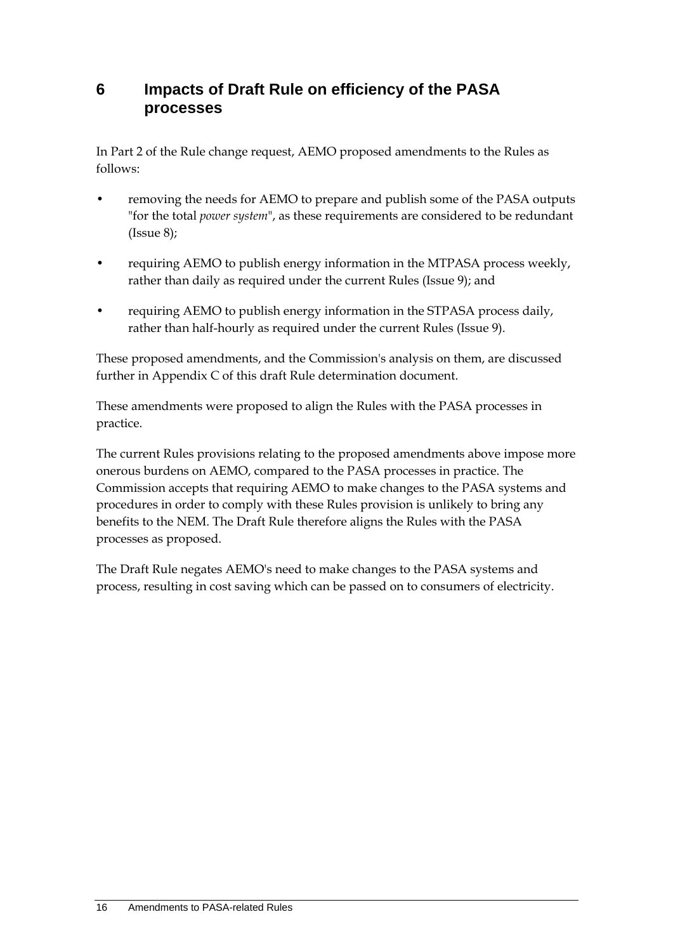## **6 Impacts of Draft Rule on efficiency of the PASA processes**

In Part 2 of the Rule change request, AEMO proposed amendments to the Rules as follows:

- removing the needs for AEMO to prepare and publish some of the PASA outputs "for the total *power system*", as these requirements are considered to be redundant  $(Issue 8);$
- requiring AEMO to publish energy information in the MTPASA process weekly, rather than daily as required under the current Rules (Issue 9); and
- requiring AEMO to publish energy information in the STPASA process daily, rather than half-hourly as required under the current Rules (Issue 9).

These proposed amendments, and the Commission's analysis on them, are discussed further in Appendix C of this draft Rule determination document.

These amendments were proposed to align the Rules with the PASA processes in practice.

The current Rules provisions relating to the proposed amendments above impose more onerous burdens on AEMO, compared to the PASA processes in practice. The Commission accepts that requiring AEMO to make changes to the PASA systems and procedures in order to comply with these Rules provision is unlikely to bring any benefits to the NEM. The Draft Rule therefore aligns the Rules with the PASA processes as proposed.

The Draft Rule negates AEMO's need to make changes to the PASA systems and process, resulting in cost saving which can be passed on to consumers of electricity.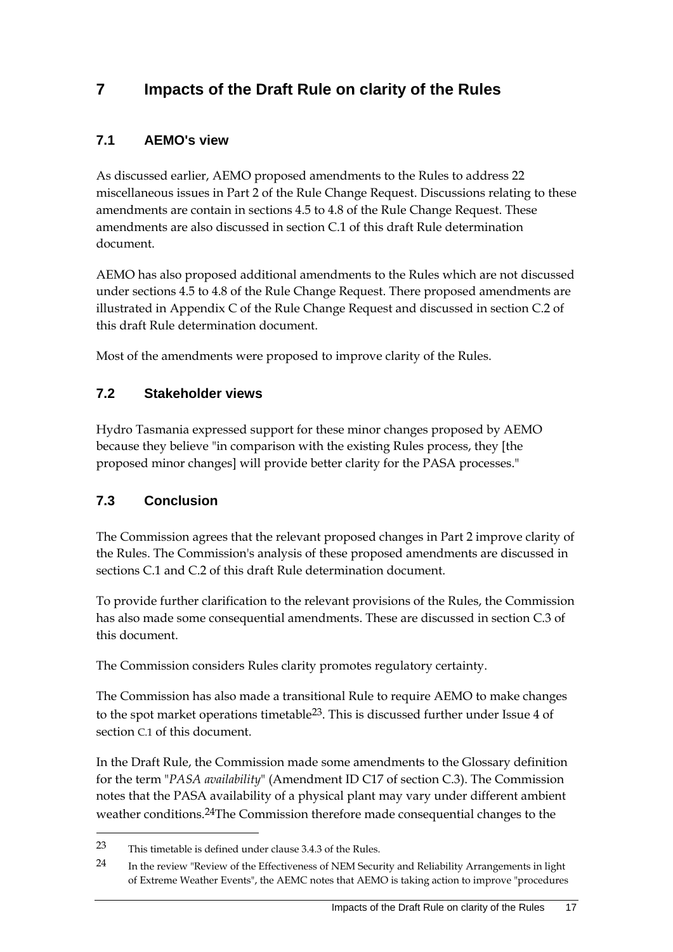# **7 Impacts of the Draft Rule on clarity of the Rules**

### **7.1 AEMO's view**

As discussed earlier, AEMO proposed amendments to the Rules to address 22 miscellaneous issues in Part 2 of the Rule Change Request. Discussions relating to these amendments are contain in sections 4.5 to 4.8 of the Rule Change Request. These amendments are also discussed in section C.1 of this draft Rule determination document.

AEMO has also proposed additional amendments to the Rules which are not discussed under sections 4.5 to 4.8 of the Rule Change Request. There proposed amendments are illustrated in Appendix C of the Rule Change Request and discussed in section C.2 of this draft Rule determination document.

Most of the amendments were proposed to improve clarity of the Rules.

#### **7.2 Stakeholder views**

Hydro Tasmania expressed support for these minor changes proposed by AEMO because they believe "in comparison with the existing Rules process, they [the proposed minor changes] will provide better clarity for the PASA processes."

#### **7.3 Conclusion**

1

The Commission agrees that the relevant proposed changes in Part 2 improve clarity of the Rules. The Commission's analysis of these proposed amendments are discussed in sections C.1 and C.2 of this draft Rule determination document.

To provide further clarification to the relevant provisions of the Rules, the Commission has also made some consequential amendments. These are discussed in section C.3 of this document.

The Commission considers Rules clarity promotes regulatory certainty.

The Commission has also made a transitional Rule to require AEMO to make changes to the spot market operations timetable<sup>23</sup>. This is discussed further under Issue 4 of section C.1 of this document.

In the Draft Rule, the Commission made some amendments to the Glossary definition for the term "*PASA availability*" (Amendment ID C17 of section C.3). The Commission notes that the PASA availability of a physical plant may vary under different ambient weather conditions.24The Commission therefore made consequential changes to the

<sup>23</sup> This timetable is defined under clause 3.4.3 of the Rules.

<sup>24</sup> In the review "Review of the Effectiveness of NEM Security and Reliability Arrangements in light of Extreme Weather Events", the AEMC notes that AEMO is taking action to improve "procedures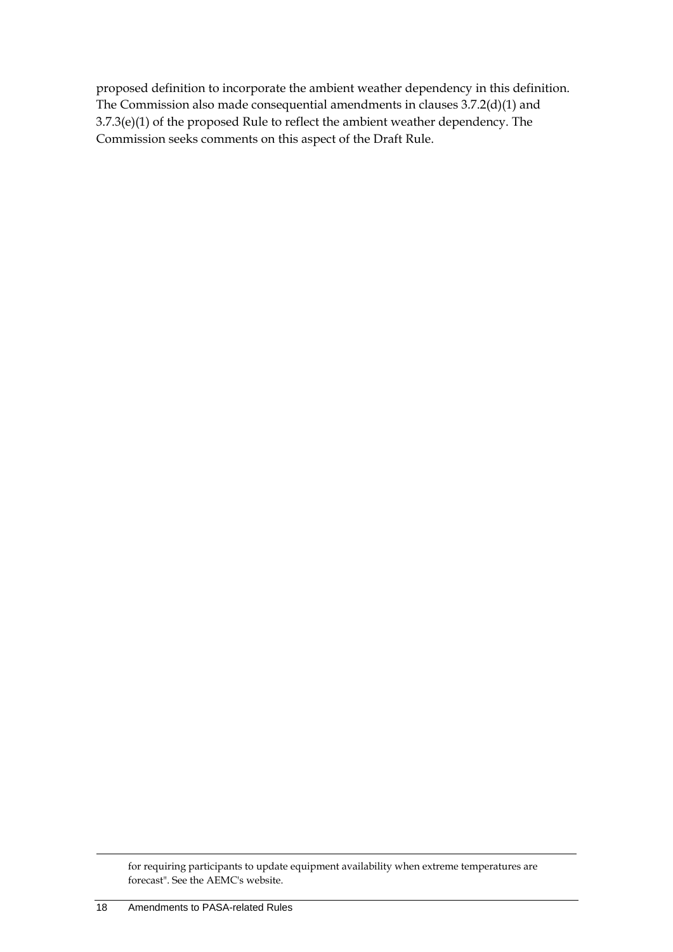proposed definition to incorporate the ambient weather dependency in this definition. The Commission also made consequential amendments in clauses 3.7.2(d)(1) and 3.7.3(e)(1) of the proposed Rule to reflect the ambient weather dependency. The Commission seeks comments on this aspect of the Draft Rule.

for requiring participants to update equipment availability when extreme temperatures are forecast". See the AEMC's website.

<u>.</u>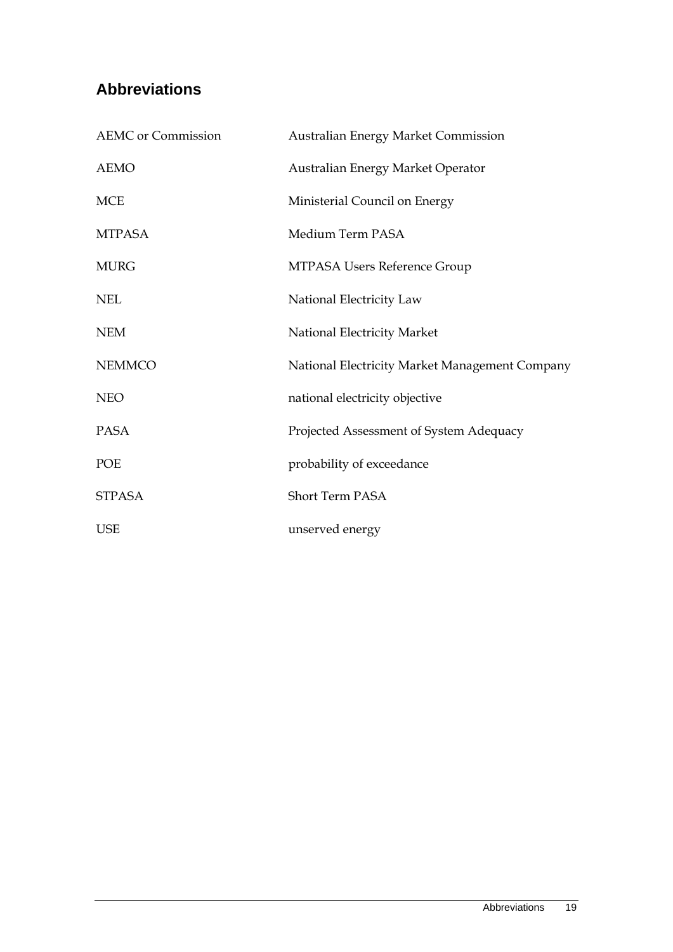# **Abbreviations**

| <b>AEMC</b> or Commission | <b>Australian Energy Market Commission</b>     |
|---------------------------|------------------------------------------------|
| <b>AEMO</b>               | Australian Energy Market Operator              |
| <b>MCE</b>                | Ministerial Council on Energy                  |
| <b>MTPASA</b>             | Medium Term PASA                               |
| <b>MURG</b>               | MTPASA Users Reference Group                   |
| <b>NEL</b>                | National Electricity Law                       |
| <b>NEM</b>                | National Electricity Market                    |
| <b>NEMMCO</b>             | National Electricity Market Management Company |
| <b>NEO</b>                | national electricity objective                 |
| <b>PASA</b>               | Projected Assessment of System Adequacy        |
| POE                       | probability of exceedance                      |
| <b>STPASA</b>             | Short Term PASA                                |
| <b>USE</b>                | unserved energy                                |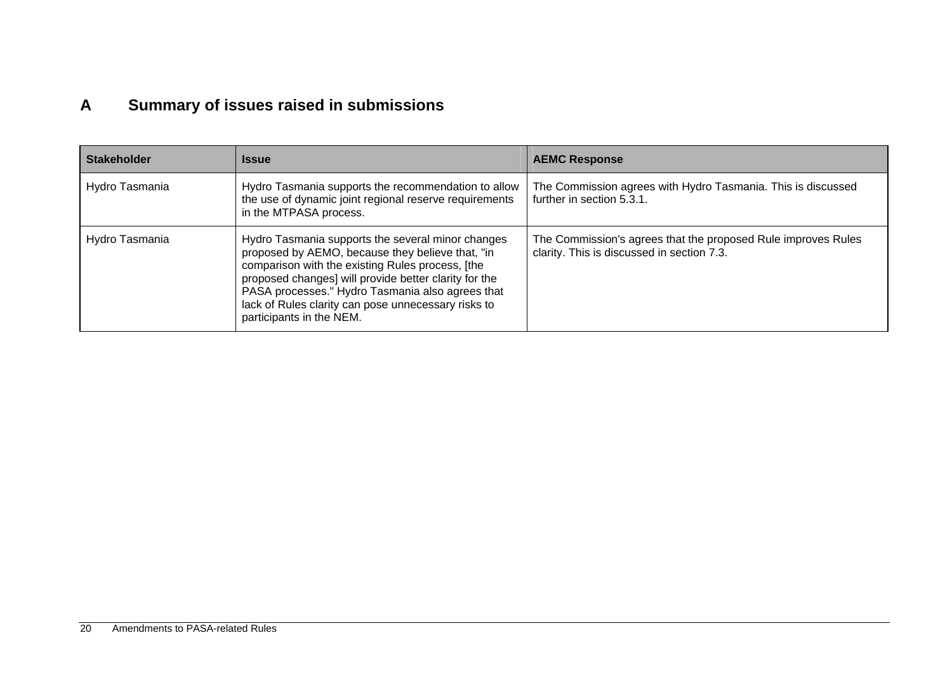# **A Summary of issues raised in submissions**

| <b>Stakeholder</b> | <b>Issue</b>                                                                                                                                                                                                                                                                                                                                              | <b>AEMC Response</b>                                                                                        |
|--------------------|-----------------------------------------------------------------------------------------------------------------------------------------------------------------------------------------------------------------------------------------------------------------------------------------------------------------------------------------------------------|-------------------------------------------------------------------------------------------------------------|
| Hydro Tasmania     | Hydro Tasmania supports the recommendation to allow<br>the use of dynamic joint regional reserve requirements<br>in the MTPASA process.                                                                                                                                                                                                                   | The Commission agrees with Hydro Tasmania. This is discussed<br>further in section 5.3.1.                   |
| Hydro Tasmania     | Hydro Tasmania supports the several minor changes<br>proposed by AEMO, because they believe that, "in<br>comparison with the existing Rules process, [the<br>proposed changes] will provide better clarity for the<br>PASA processes." Hydro Tasmania also agrees that<br>lack of Rules clarity can pose unnecessary risks to<br>participants in the NEM. | The Commission's agrees that the proposed Rule improves Rules<br>clarity. This is discussed in section 7.3. |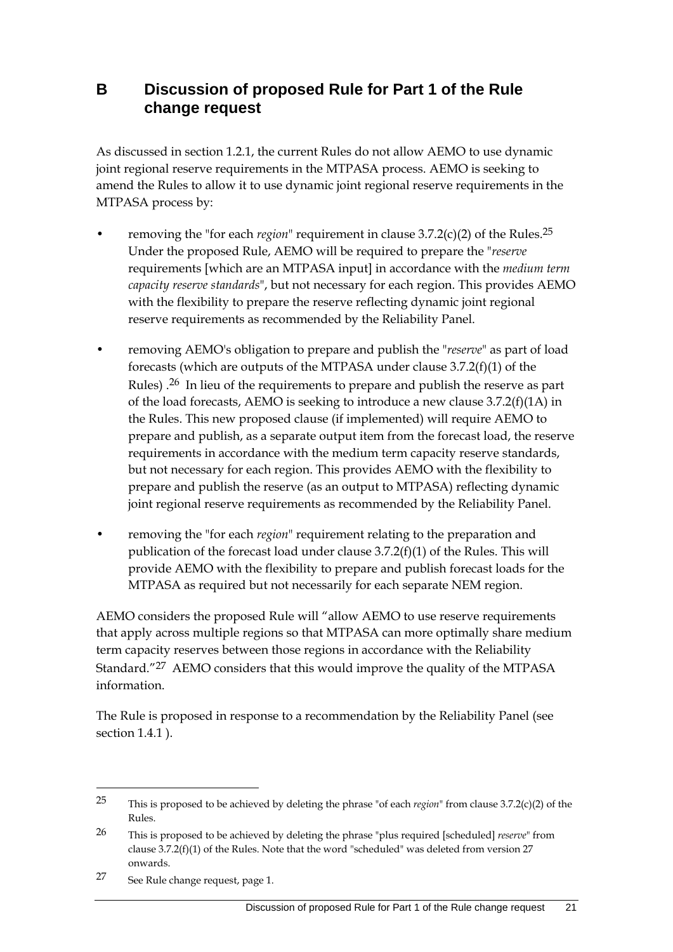## **B Discussion of proposed Rule for Part 1 of the Rule change request**

As discussed in section 1.2.1, the current Rules do not allow AEMO to use dynamic joint regional reserve requirements in the MTPASA process. AEMO is seeking to amend the Rules to allow it to use dynamic joint regional reserve requirements in the MTPASA process by:

- removing the "for each *region*" requirement in clause 3.7.2(c)(2) of the Rules.25 Under the proposed Rule, AEMO will be required to prepare the "*reserve* requirements [which are an MTPASA input] in accordance with the *medium term capacity reserve standards*", but not necessary for each region. This provides AEMO with the flexibility to prepare the reserve reflecting dynamic joint regional reserve requirements as recommended by the Reliability Panel.
- removing AEMO's obligation to prepare and publish the "*reserve*" as part of load forecasts (which are outputs of the MTPASA under clause 3.7.2(f)(1) of the Rules) .26 In lieu of the requirements to prepare and publish the reserve as part of the load forecasts, AEMO is seeking to introduce a new clause 3.7.2(f)(1A) in the Rules. This new proposed clause (if implemented) will require AEMO to prepare and publish, as a separate output item from the forecast load, the reserve requirements in accordance with the medium term capacity reserve standards, but not necessary for each region. This provides AEMO with the flexibility to prepare and publish the reserve (as an output to MTPASA) reflecting dynamic joint regional reserve requirements as recommended by the Reliability Panel.
- removing the "for each *region*" requirement relating to the preparation and publication of the forecast load under clause 3.7.2(f)(1) of the Rules. This will provide AEMO with the flexibility to prepare and publish forecast loads for the MTPASA as required but not necessarily for each separate NEM region.

AEMO considers the proposed Rule will "allow AEMO to use reserve requirements that apply across multiple regions so that MTPASA can more optimally share medium term capacity reserves between those regions in accordance with the Reliability Standard."27 AEMO considers that this would improve the quality of the MTPASA information.

The Rule is proposed in response to a recommendation by the Reliability Panel (see section 1.4.1 ).

<sup>25</sup> This is proposed to be achieved by deleting the phrase "of each *region*" from clause 3.7.2(c)(2) of the Rules.

<sup>26</sup> This is proposed to be achieved by deleting the phrase "plus required [scheduled] *reserve*" from clause 3.7.2(f)(1) of the Rules. Note that the word "scheduled" was deleted from version 27 onwards.

<sup>27</sup> See Rule change request, page 1.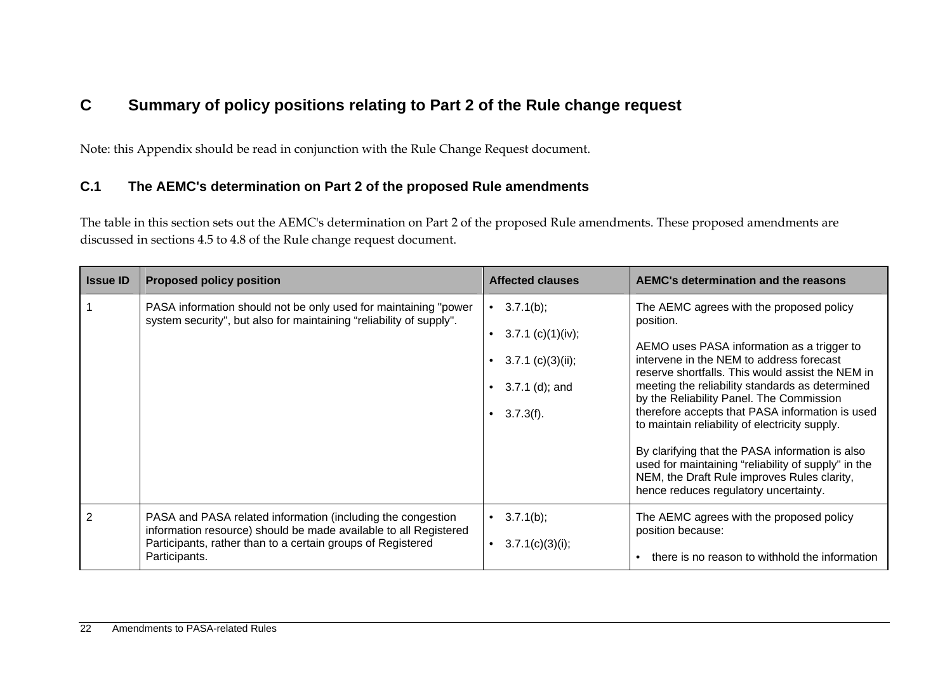# **C Summary of policy positions relating to Part 2 of the Rule change request**

Note: this Appendix should be read in conjunction with the Rule Change Request document.

#### **C.1 The AEMC's determination on Part 2 of the proposed Rule amendments**

The table in this section sets out the AEMC's determination on Part 2 of the proposed Rule amendments. These proposed amendments are discussed in sections 4.5 to 4.8 of the Rule change request document.

| <b>Issue ID</b> | <b>Proposed policy position</b>                                                                                                                                                                                 | <b>Affected clauses</b>                                                                          | <b>AEMC's determination and the reasons</b>                                                                                                                                                                                                                                                                                                                                                                                                                                                                                                                                                               |
|-----------------|-----------------------------------------------------------------------------------------------------------------------------------------------------------------------------------------------------------------|--------------------------------------------------------------------------------------------------|-----------------------------------------------------------------------------------------------------------------------------------------------------------------------------------------------------------------------------------------------------------------------------------------------------------------------------------------------------------------------------------------------------------------------------------------------------------------------------------------------------------------------------------------------------------------------------------------------------------|
|                 | PASA information should not be only used for maintaining "power<br>system security", but also for maintaining "reliability of supply".                                                                          | • $3.7.1(b)$ ;<br>$3.7.1$ (c)(1)(iv);<br>$3.7.1$ (c)(3)(ii);<br>$3.7.1$ (d); and<br>$3.7.3(f)$ . | The AEMC agrees with the proposed policy<br>position.<br>AEMO uses PASA information as a trigger to<br>intervene in the NEM to address forecast<br>reserve shortfalls. This would assist the NEM in<br>meeting the reliability standards as determined<br>by the Reliability Panel. The Commission<br>therefore accepts that PASA information is used<br>to maintain reliability of electricity supply.<br>By clarifying that the PASA information is also<br>used for maintaining "reliability of supply" in the<br>NEM, the Draft Rule improves Rules clarity,<br>hence reduces regulatory uncertainty. |
| 2               | PASA and PASA related information (including the congestion<br>information resource) should be made available to all Registered<br>Participants, rather than to a certain groups of Registered<br>Participants. | • $3.7.1(b)$ ;<br>3.7.1(c)(3)(i);                                                                | The AEMC agrees with the proposed policy<br>position because:<br>there is no reason to withhold the information                                                                                                                                                                                                                                                                                                                                                                                                                                                                                           |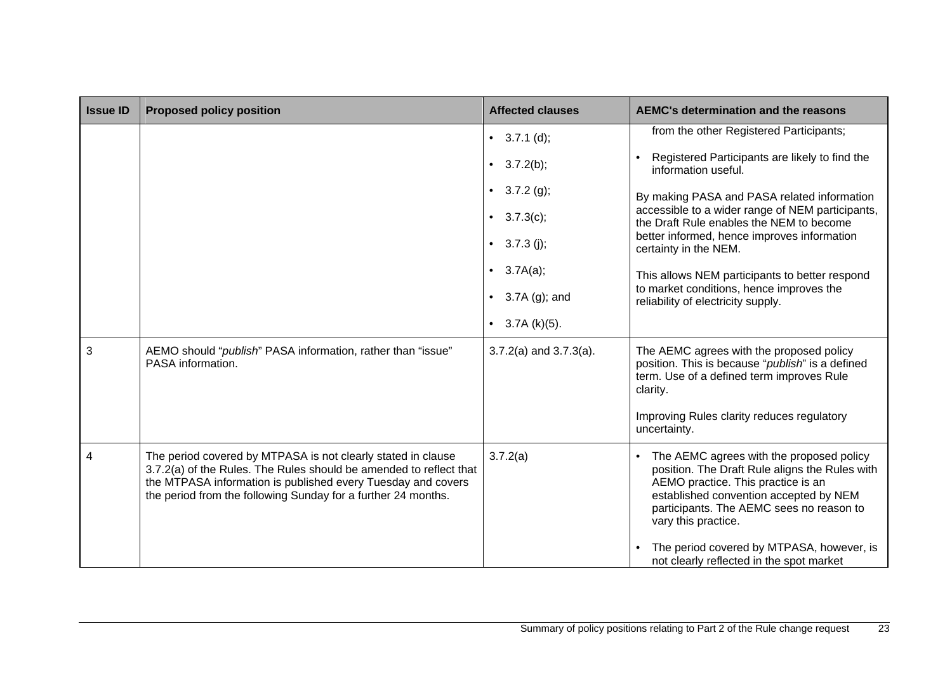| <b>Issue ID</b> | <b>Proposed policy position</b>                                                                                                                                                                                                                                     | <b>Affected clauses</b>     | <b>AEMC's determination and the reasons</b>                                                                                                                                                                                                                                                |
|-----------------|---------------------------------------------------------------------------------------------------------------------------------------------------------------------------------------------------------------------------------------------------------------------|-----------------------------|--------------------------------------------------------------------------------------------------------------------------------------------------------------------------------------------------------------------------------------------------------------------------------------------|
|                 |                                                                                                                                                                                                                                                                     | • $3.7.1$ (d);              | from the other Registered Participants;                                                                                                                                                                                                                                                    |
|                 |                                                                                                                                                                                                                                                                     | • $3.7.2(b)$ ;              | Registered Participants are likely to find the<br>information useful.                                                                                                                                                                                                                      |
|                 |                                                                                                                                                                                                                                                                     | • $3.7.2$ (g);              | By making PASA and PASA related information                                                                                                                                                                                                                                                |
|                 |                                                                                                                                                                                                                                                                     | • $3.7.3(c)$ ;              | accessible to a wider range of NEM participants,<br>the Draft Rule enables the NEM to become                                                                                                                                                                                               |
|                 |                                                                                                                                                                                                                                                                     | $3.7.3$ (j);<br>$\bullet$   | better informed, hence improves information<br>certainty in the NEM.                                                                                                                                                                                                                       |
|                 |                                                                                                                                                                                                                                                                     | 3.7A(a);<br>$\bullet$       | This allows NEM participants to better respond                                                                                                                                                                                                                                             |
|                 |                                                                                                                                                                                                                                                                     | $3.7A(g)$ ; and             | to market conditions, hence improves the<br>reliability of electricity supply.                                                                                                                                                                                                             |
|                 |                                                                                                                                                                                                                                                                     | $3.7A(k)(5)$ .<br>$\bullet$ |                                                                                                                                                                                                                                                                                            |
| 3               | AEMO should "publish" PASA information, rather than "issue"<br>PASA information.                                                                                                                                                                                    | $3.7.2(a)$ and $3.7.3(a)$ . | The AEMC agrees with the proposed policy<br>position. This is because "publish" is a defined<br>term. Use of a defined term improves Rule<br>clarity.                                                                                                                                      |
|                 |                                                                                                                                                                                                                                                                     |                             | Improving Rules clarity reduces regulatory<br>uncertainty.                                                                                                                                                                                                                                 |
| 4               | The period covered by MTPASA is not clearly stated in clause<br>3.7.2(a) of the Rules. The Rules should be amended to reflect that<br>the MTPASA information is published every Tuesday and covers<br>the period from the following Sunday for a further 24 months. | 3.7.2(a)                    | The AEMC agrees with the proposed policy<br>position. The Draft Rule aligns the Rules with<br>AEMO practice. This practice is an<br>established convention accepted by NEM<br>participants. The AEMC sees no reason to<br>vary this practice.<br>The period covered by MTPASA, however, is |
|                 |                                                                                                                                                                                                                                                                     |                             | not clearly reflected in the spot market                                                                                                                                                                                                                                                   |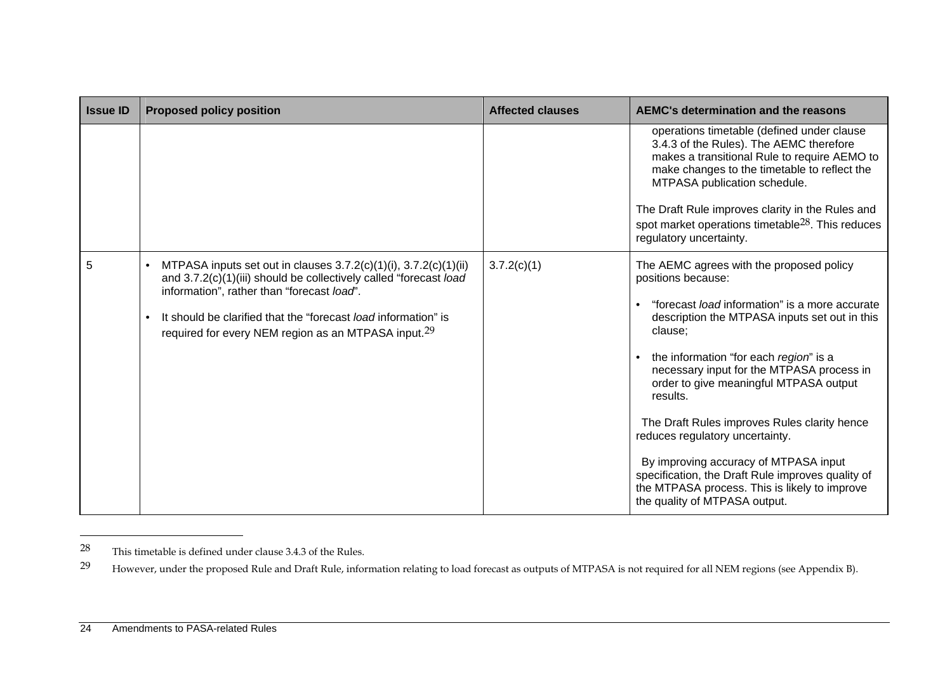| <b>Issue ID</b> | <b>Proposed policy position</b>                                                                                                                                                                                                                                                                                                                   | <b>Affected clauses</b> | <b>AEMC's determination and the reasons</b>                                                                                                                                                                                                                                                                                                                                                                                                                                                                                                                                                         |
|-----------------|---------------------------------------------------------------------------------------------------------------------------------------------------------------------------------------------------------------------------------------------------------------------------------------------------------------------------------------------------|-------------------------|-----------------------------------------------------------------------------------------------------------------------------------------------------------------------------------------------------------------------------------------------------------------------------------------------------------------------------------------------------------------------------------------------------------------------------------------------------------------------------------------------------------------------------------------------------------------------------------------------------|
|                 |                                                                                                                                                                                                                                                                                                                                                   |                         | operations timetable (defined under clause<br>3.4.3 of the Rules). The AEMC therefore<br>makes a transitional Rule to require AEMO to<br>make changes to the timetable to reflect the<br>MTPASA publication schedule.<br>The Draft Rule improves clarity in the Rules and<br>spot market operations timetable <sup>28</sup> . This reduces<br>regulatory uncertainty.                                                                                                                                                                                                                               |
| 5               | MTPASA inputs set out in clauses $3.7.2(c)(1)(i)$ , $3.7.2(c)(1)(ii)$<br>$\bullet$<br>and 3.7.2(c)(1)(iii) should be collectively called "forecast load<br>information", rather than "forecast load".<br>It should be clarified that the "forecast <i>load</i> information" is<br>required for every NEM region as an MTPASA input. <sup>29</sup> | 3.7.2(c)(1)             | The AEMC agrees with the proposed policy<br>positions because:<br>"forecast <i>load</i> information" is a more accurate<br>description the MTPASA inputs set out in this<br>clause:<br>the information "for each region" is a<br>necessary input for the MTPASA process in<br>order to give meaningful MTPASA output<br>results.<br>The Draft Rules improves Rules clarity hence<br>reduces regulatory uncertainty.<br>By improving accuracy of MTPASA input<br>specification, the Draft Rule improves quality of<br>the MTPASA process. This is likely to improve<br>the quality of MTPASA output. |

<sup>28</sup> This timetable is defined under clause 3.4.3 of the Rules.

<sup>&</sup>lt;sup>29</sup> However, under the proposed Rule and Draft Rule, information relating to load forecast as outputs of MTPASA is not required for all NEM regions (see Appendix B).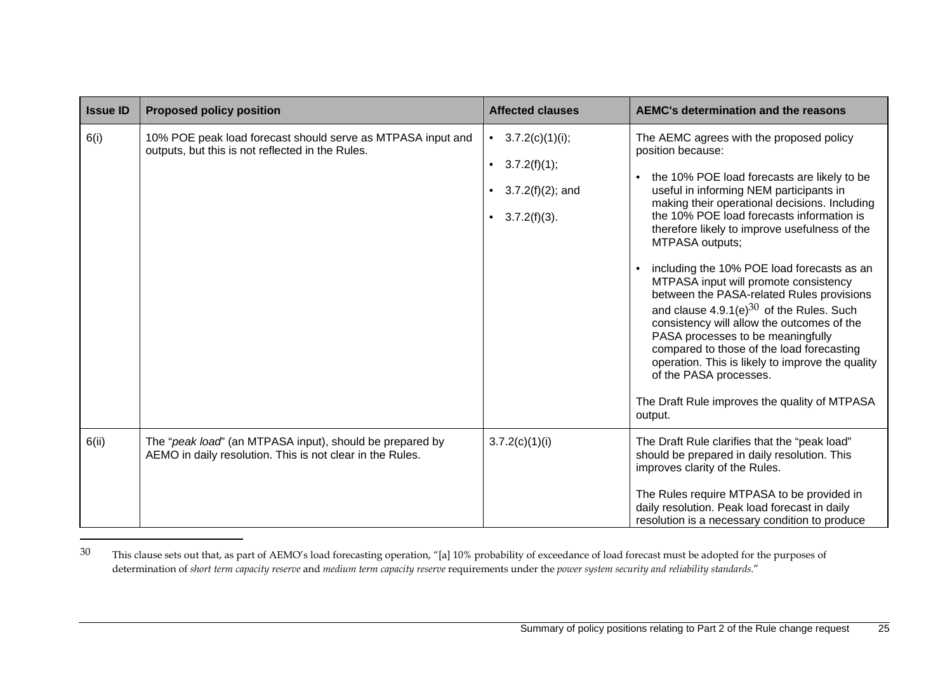| <b>Issue ID</b> | <b>Proposed policy position</b>                                                                                       | <b>Affected clauses</b>                                                                                | <b>AEMC's determination and the reasons</b>                                                                                                                                                                                                                                                                                                                                                                                                                                                                                                                                                                                                                                                                                                                                              |
|-----------------|-----------------------------------------------------------------------------------------------------------------------|--------------------------------------------------------------------------------------------------------|------------------------------------------------------------------------------------------------------------------------------------------------------------------------------------------------------------------------------------------------------------------------------------------------------------------------------------------------------------------------------------------------------------------------------------------------------------------------------------------------------------------------------------------------------------------------------------------------------------------------------------------------------------------------------------------------------------------------------------------------------------------------------------------|
| 6(i)            | 10% POE peak load forecast should serve as MTPASA input and<br>outputs, but this is not reflected in the Rules.       | 3.7.2(c)(1)(i);<br>$\bullet$<br>$3.7.2(f)(1)$ ;<br>$\bullet$<br>$3.7.2(f)(2)$ ; and<br>$3.7.2(f)(3)$ . | The AEMC agrees with the proposed policy<br>position because:<br>the 10% POE load forecasts are likely to be<br>useful in informing NEM participants in<br>making their operational decisions. Including<br>the 10% POE load forecasts information is<br>therefore likely to improve usefulness of the<br>MTPASA outputs;<br>including the 10% POE load forecasts as an<br>MTPASA input will promote consistency<br>between the PASA-related Rules provisions<br>and clause $4.9.1(e)^{30}$ of the Rules. Such<br>consistency will allow the outcomes of the<br>PASA processes to be meaningfully<br>compared to those of the load forecasting<br>operation. This is likely to improve the quality<br>of the PASA processes.<br>The Draft Rule improves the quality of MTPASA<br>output. |
| 6(ii)           | The "peak load" (an MTPASA input), should be prepared by<br>AEMO in daily resolution. This is not clear in the Rules. | 3.7.2(c)(1)(i)                                                                                         | The Draft Rule clarifies that the "peak load"<br>should be prepared in daily resolution. This<br>improves clarity of the Rules.<br>The Rules require MTPASA to be provided in<br>daily resolution. Peak load forecast in daily<br>resolution is a necessary condition to produce                                                                                                                                                                                                                                                                                                                                                                                                                                                                                                         |

<sup>&</sup>lt;sup>30</sup> This clause sets out that, as part of AEMO's load forecasting operation, "[a] 10% probability of exceedance of load forecast must be adopted for the purposes of determination of *short term capacity reserve* and *medium term capacity reserve* requirements under the *power system security and reliability standards*."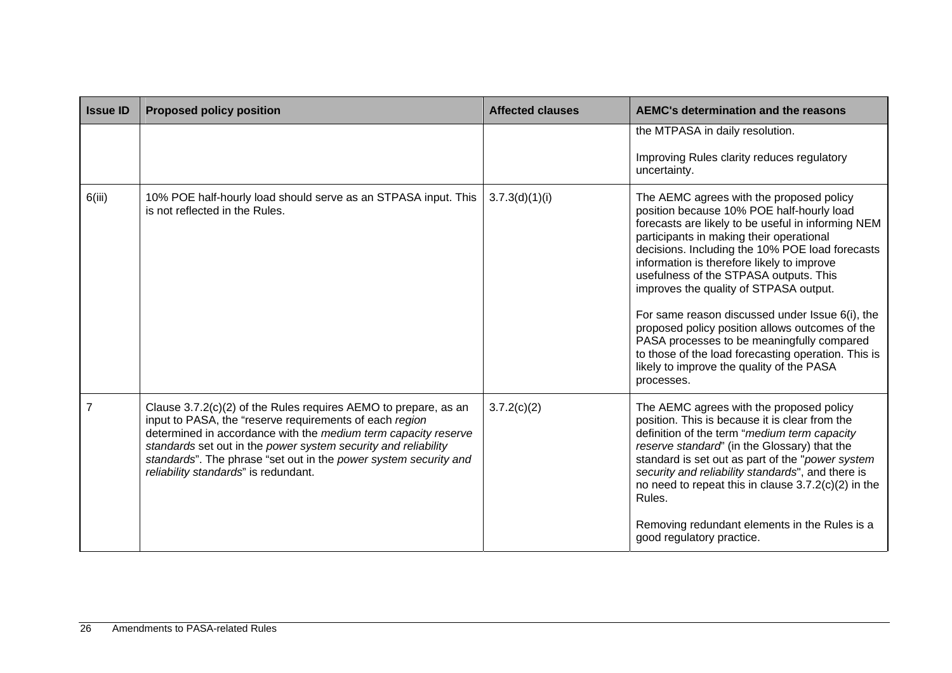| <b>Issue ID</b> | <b>Proposed policy position</b>                                                                                                                                                                                                                                                                                                                                            | <b>Affected clauses</b> | <b>AEMC's determination and the reasons</b>                                                                                                                                                                                                                                                                                                                                                                                                                                                                                                                                                                                                        |
|-----------------|----------------------------------------------------------------------------------------------------------------------------------------------------------------------------------------------------------------------------------------------------------------------------------------------------------------------------------------------------------------------------|-------------------------|----------------------------------------------------------------------------------------------------------------------------------------------------------------------------------------------------------------------------------------------------------------------------------------------------------------------------------------------------------------------------------------------------------------------------------------------------------------------------------------------------------------------------------------------------------------------------------------------------------------------------------------------------|
|                 |                                                                                                                                                                                                                                                                                                                                                                            |                         | the MTPASA in daily resolution.<br>Improving Rules clarity reduces regulatory<br>uncertainty.                                                                                                                                                                                                                                                                                                                                                                                                                                                                                                                                                      |
| 6(iii)          | 10% POE half-hourly load should serve as an STPASA input. This<br>is not reflected in the Rules.                                                                                                                                                                                                                                                                           | 3.7.3(d)(1)(i)          | The AEMC agrees with the proposed policy<br>position because 10% POE half-hourly load<br>forecasts are likely to be useful in informing NEM<br>participants in making their operational<br>decisions. Including the 10% POE load forecasts<br>information is therefore likely to improve<br>usefulness of the STPASA outputs. This<br>improves the quality of STPASA output.<br>For same reason discussed under Issue 6(i), the<br>proposed policy position allows outcomes of the<br>PASA processes to be meaningfully compared<br>to those of the load forecasting operation. This is<br>likely to improve the quality of the PASA<br>processes. |
|                 | Clause 3.7.2(c)(2) of the Rules requires AEMO to prepare, as an<br>input to PASA, the "reserve requirements of each region<br>determined in accordance with the medium term capacity reserve<br>standards set out in the power system security and reliability<br>standards". The phrase "set out in the power system security and<br>reliability standards" is redundant. | 3.7.2(c)(2)             | The AEMC agrees with the proposed policy<br>position. This is because it is clear from the<br>definition of the term "medium term capacity<br>reserve standard' (in the Glossary) that the<br>standard is set out as part of the "power system<br>security and reliability standards", and there is<br>no need to repeat this in clause $3.7.2(c)(2)$ in the<br>Rules.<br>Removing redundant elements in the Rules is a<br>good regulatory practice.                                                                                                                                                                                               |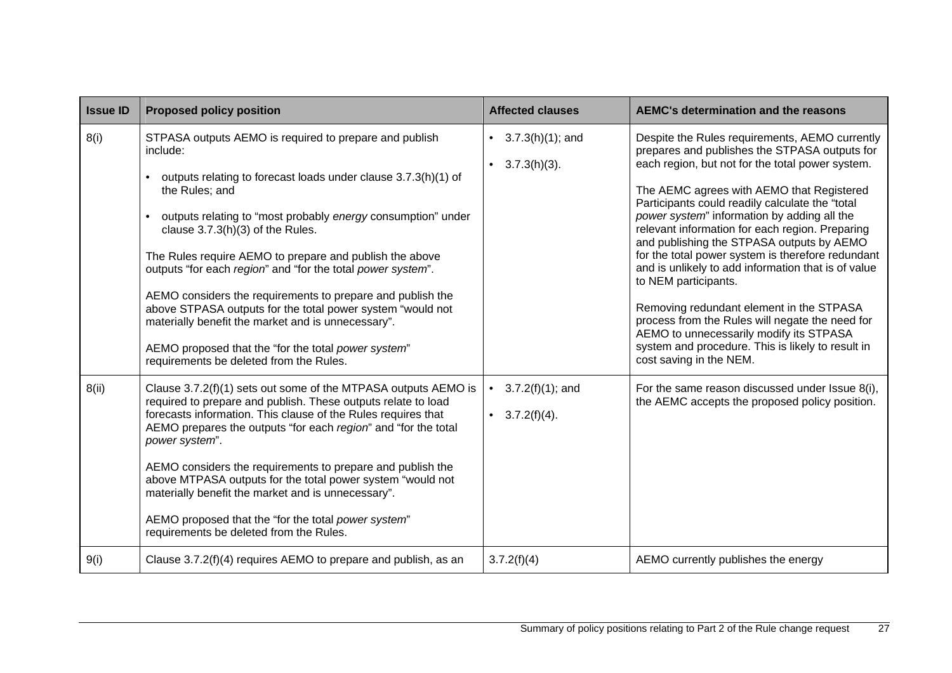| <b>Issue ID</b> | <b>Proposed policy position</b>                                                                                                                                                                                                                                                                                                                                                                                                                                                                                                                                                                                                                                            | <b>Affected clauses</b>                               | <b>AEMC's determination and the reasons</b>                                                                                                                                                                                                                                                                                                                                                                                                                                                                                                                                                                                                                                                                                                                      |
|-----------------|----------------------------------------------------------------------------------------------------------------------------------------------------------------------------------------------------------------------------------------------------------------------------------------------------------------------------------------------------------------------------------------------------------------------------------------------------------------------------------------------------------------------------------------------------------------------------------------------------------------------------------------------------------------------------|-------------------------------------------------------|------------------------------------------------------------------------------------------------------------------------------------------------------------------------------------------------------------------------------------------------------------------------------------------------------------------------------------------------------------------------------------------------------------------------------------------------------------------------------------------------------------------------------------------------------------------------------------------------------------------------------------------------------------------------------------------------------------------------------------------------------------------|
| 8(i)            | STPASA outputs AEMO is required to prepare and publish<br>include:<br>outputs relating to forecast loads under clause 3.7.3(h)(1) of<br>the Rules; and<br>outputs relating to "most probably energy consumption" under<br>clause $3.7.3(h)(3)$ of the Rules.<br>The Rules require AEMO to prepare and publish the above<br>outputs "for each region" and "for the total power system".<br>AEMO considers the requirements to prepare and publish the<br>above STPASA outputs for the total power system "would not<br>materially benefit the market and is unnecessary".<br>AEMO proposed that the "for the total power system"<br>requirements be deleted from the Rules. | $3.7.3(h)(1)$ ; and<br>• $3.7.3(h)(3)$ .              | Despite the Rules requirements, AEMO currently<br>prepares and publishes the STPASA outputs for<br>each region, but not for the total power system.<br>The AEMC agrees with AEMO that Registered<br>Participants could readily calculate the "total<br>power system" information by adding all the<br>relevant information for each region. Preparing<br>and publishing the STPASA outputs by AEMO<br>for the total power system is therefore redundant<br>and is unlikely to add information that is of value<br>to NEM participants.<br>Removing redundant element in the STPASA<br>process from the Rules will negate the need for<br>AEMO to unnecessarily modify its STPASA<br>system and procedure. This is likely to result in<br>cost saving in the NEM. |
| 8(ii)           | Clause 3.7.2(f)(1) sets out some of the MTPASA outputs AEMO is<br>required to prepare and publish. These outputs relate to load<br>forecasts information. This clause of the Rules requires that<br>AEMO prepares the outputs "for each region" and "for the total<br>power system".<br>AEMO considers the requirements to prepare and publish the<br>above MTPASA outputs for the total power system "would not<br>materially benefit the market and is unnecessary".<br>AEMO proposed that the "for the total power system"<br>requirements be deleted from the Rules.                                                                                                   | $3.7.2(f)(1)$ ; and<br>$\bullet$<br>• $3.7.2(f)(4)$ . | For the same reason discussed under Issue 8(i),<br>the AEMC accepts the proposed policy position.                                                                                                                                                                                                                                                                                                                                                                                                                                                                                                                                                                                                                                                                |
| 9(i)            | Clause 3.7.2(f)(4) requires AEMO to prepare and publish, as an                                                                                                                                                                                                                                                                                                                                                                                                                                                                                                                                                                                                             | 3.7.2(f)(4)                                           | AEMO currently publishes the energy                                                                                                                                                                                                                                                                                                                                                                                                                                                                                                                                                                                                                                                                                                                              |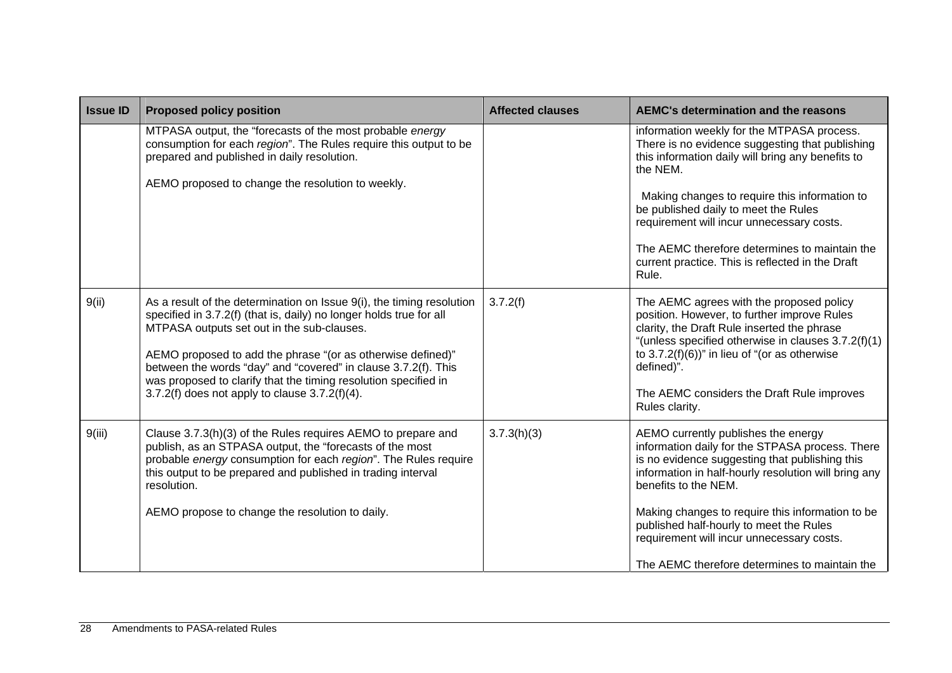| <b>Issue ID</b> | <b>Proposed policy position</b>                                                                                                                                                                                                                                                                                                                                                                                                                     | <b>Affected clauses</b> | <b>AEMC's determination and the reasons</b>                                                                                                                                                                                                                                                                                                                                                                           |
|-----------------|-----------------------------------------------------------------------------------------------------------------------------------------------------------------------------------------------------------------------------------------------------------------------------------------------------------------------------------------------------------------------------------------------------------------------------------------------------|-------------------------|-----------------------------------------------------------------------------------------------------------------------------------------------------------------------------------------------------------------------------------------------------------------------------------------------------------------------------------------------------------------------------------------------------------------------|
|                 | MTPASA output, the "forecasts of the most probable energy<br>consumption for each region". The Rules require this output to be<br>prepared and published in daily resolution.<br>AEMO proposed to change the resolution to weekly.                                                                                                                                                                                                                  |                         | information weekly for the MTPASA process.<br>There is no evidence suggesting that publishing<br>this information daily will bring any benefits to<br>the NEM.<br>Making changes to require this information to<br>be published daily to meet the Rules<br>requirement will incur unnecessary costs.<br>The AEMC therefore determines to maintain the<br>current practice. This is reflected in the Draft<br>Rule.    |
| 9(ii)           | As a result of the determination on Issue 9(i), the timing resolution<br>specified in 3.7.2(f) (that is, daily) no longer holds true for all<br>MTPASA outputs set out in the sub-clauses.<br>AEMO proposed to add the phrase "(or as otherwise defined)"<br>between the words "day" and "covered" in clause 3.7.2(f). This<br>was proposed to clarify that the timing resolution specified in<br>3.7.2(f) does not apply to clause $3.7.2(f)(4)$ . | 3.7.2(f)                | The AEMC agrees with the proposed policy<br>position. However, to further improve Rules<br>clarity, the Draft Rule inserted the phrase<br>"(unless specified otherwise in clauses 3.7.2(f)(1)<br>to $3.7.2(f)(6)$ " in lieu of "(or as otherwise<br>defined)".<br>The AEMC considers the Draft Rule improves<br>Rules clarity.                                                                                        |
| 9(iii)          | Clause 3.7.3(h)(3) of the Rules requires AEMO to prepare and<br>publish, as an STPASA output, the "forecasts of the most<br>probable energy consumption for each region". The Rules require<br>this output to be prepared and published in trading interval<br>resolution.<br>AEMO propose to change the resolution to daily.                                                                                                                       | 3.7.3(h)(3)             | AEMO currently publishes the energy<br>information daily for the STPASA process. There<br>is no evidence suggesting that publishing this<br>information in half-hourly resolution will bring any<br>benefits to the NEM.<br>Making changes to require this information to be<br>published half-hourly to meet the Rules<br>requirement will incur unnecessary costs.<br>The AEMC therefore determines to maintain the |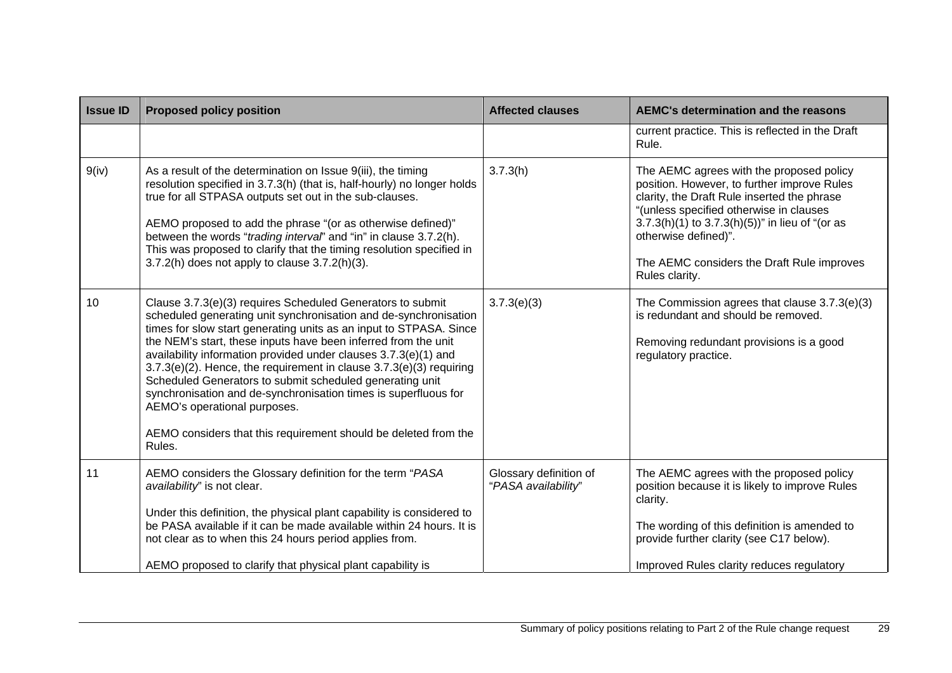| <b>Issue ID</b> | <b>Proposed policy position</b>                                                                                                                                                                                                                                                                                                                                                                                                                                                                                                                                                                                                                                   | <b>Affected clauses</b>                       | AEMC's determination and the reasons                                                                                                                                                                                                                                                                                             |
|-----------------|-------------------------------------------------------------------------------------------------------------------------------------------------------------------------------------------------------------------------------------------------------------------------------------------------------------------------------------------------------------------------------------------------------------------------------------------------------------------------------------------------------------------------------------------------------------------------------------------------------------------------------------------------------------------|-----------------------------------------------|----------------------------------------------------------------------------------------------------------------------------------------------------------------------------------------------------------------------------------------------------------------------------------------------------------------------------------|
|                 |                                                                                                                                                                                                                                                                                                                                                                                                                                                                                                                                                                                                                                                                   |                                               | current practice. This is reflected in the Draft<br>Rule.                                                                                                                                                                                                                                                                        |
| 9(iv)           | As a result of the determination on Issue 9(iii), the timing<br>resolution specified in 3.7.3(h) (that is, half-hourly) no longer holds<br>true for all STPASA outputs set out in the sub-clauses.<br>AEMO proposed to add the phrase "(or as otherwise defined)"<br>between the words "trading interval" and "in" in clause 3.7.2(h).<br>This was proposed to clarify that the timing resolution specified in<br>$3.7.2(h)$ does not apply to clause $3.7.2(h)(3)$ .                                                                                                                                                                                             | 3.7.3(h)                                      | The AEMC agrees with the proposed policy<br>position. However, to further improve Rules<br>clarity, the Draft Rule inserted the phrase<br>"(unless specified otherwise in clauses<br>$3.7.3(h)(1)$ to $3.7.3(h)(5)$ " in lieu of "(or as<br>otherwise defined)".<br>The AEMC considers the Draft Rule improves<br>Rules clarity. |
| 10              | Clause 3.7.3(e)(3) requires Scheduled Generators to submit<br>scheduled generating unit synchronisation and de-synchronisation<br>times for slow start generating units as an input to STPASA. Since<br>the NEM's start, these inputs have been inferred from the unit<br>availability information provided under clauses 3.7.3(e)(1) and<br>$3.7.3(e)(2)$ . Hence, the requirement in clause $3.7.3(e)(3)$ requiring<br>Scheduled Generators to submit scheduled generating unit<br>synchronisation and de-synchronisation times is superfluous for<br>AEMO's operational purposes.<br>AEMO considers that this requirement should be deleted from the<br>Rules. | 3.7.3(e)(3)                                   | The Commission agrees that clause 3.7.3(e)(3)<br>is redundant and should be removed.<br>Removing redundant provisions is a good<br>regulatory practice.                                                                                                                                                                          |
| 11              | AEMO considers the Glossary definition for the term "PASA<br>availability" is not clear.<br>Under this definition, the physical plant capability is considered to<br>be PASA available if it can be made available within 24 hours. It is<br>not clear as to when this 24 hours period applies from.<br>AEMO proposed to clarify that physical plant capability is                                                                                                                                                                                                                                                                                                | Glossary definition of<br>"PASA availability" | The AEMC agrees with the proposed policy<br>position because it is likely to improve Rules<br>clarity.<br>The wording of this definition is amended to<br>provide further clarity (see C17 below).<br>Improved Rules clarity reduces regulatory                                                                                  |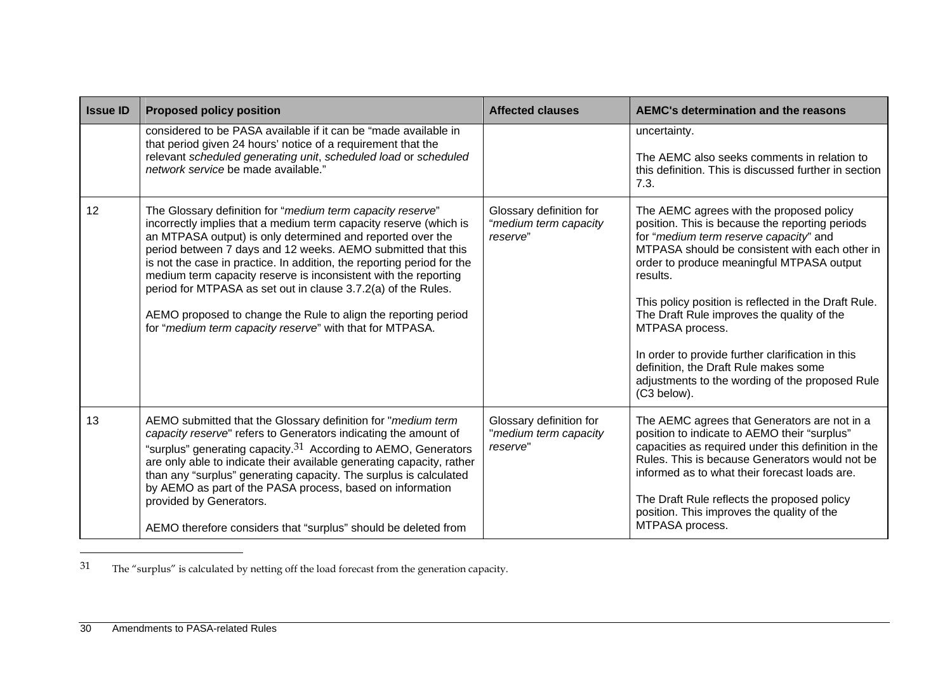| <b>Issue ID</b> | <b>Proposed policy position</b>                                                                                                                                                                                                                                                                                                                                                                                                                                                                                                                                                                           | <b>Affected clauses</b>                                      | <b>AEMC's determination and the reasons</b>                                                                                                                                                                                                                                                                                                                                                                                                                                                                                               |
|-----------------|-----------------------------------------------------------------------------------------------------------------------------------------------------------------------------------------------------------------------------------------------------------------------------------------------------------------------------------------------------------------------------------------------------------------------------------------------------------------------------------------------------------------------------------------------------------------------------------------------------------|--------------------------------------------------------------|-------------------------------------------------------------------------------------------------------------------------------------------------------------------------------------------------------------------------------------------------------------------------------------------------------------------------------------------------------------------------------------------------------------------------------------------------------------------------------------------------------------------------------------------|
|                 | considered to be PASA available if it can be "made available in<br>that period given 24 hours' notice of a requirement that the<br>relevant scheduled generating unit, scheduled load or scheduled<br>network service be made available."                                                                                                                                                                                                                                                                                                                                                                 |                                                              | uncertainty.<br>The AEMC also seeks comments in relation to<br>this definition. This is discussed further in section<br>7.3.                                                                                                                                                                                                                                                                                                                                                                                                              |
| 12              | The Glossary definition for "medium term capacity reserve"<br>incorrectly implies that a medium term capacity reserve (which is<br>an MTPASA output) is only determined and reported over the<br>period between 7 days and 12 weeks. AEMO submitted that this<br>is not the case in practice. In addition, the reporting period for the<br>medium term capacity reserve is inconsistent with the reporting<br>period for MTPASA as set out in clause 3.7.2(a) of the Rules.<br>AEMO proposed to change the Rule to align the reporting period<br>for "medium term capacity reserve" with that for MTPASA. | Glossary definition for<br>"medium term capacity<br>reserve" | The AEMC agrees with the proposed policy<br>position. This is because the reporting periods<br>for "medium term reserve capacity" and<br>MTPASA should be consistent with each other in<br>order to produce meaningful MTPASA output<br>results.<br>This policy position is reflected in the Draft Rule.<br>The Draft Rule improves the quality of the<br>MTPASA process.<br>In order to provide further clarification in this<br>definition, the Draft Rule makes some<br>adjustments to the wording of the proposed Rule<br>(C3 below). |
| 13              | AEMO submitted that the Glossary definition for "medium term<br>capacity reserve" refers to Generators indicating the amount of<br>"surplus" generating capacity. $31$ According to AEMO, Generators<br>are only able to indicate their available generating capacity, rather<br>than any "surplus" generating capacity. The surplus is calculated<br>by AEMO as part of the PASA process, based on information<br>provided by Generators.<br>AEMO therefore considers that "surplus" should be deleted from                                                                                              | Glossary definition for<br>"medium term capacity<br>reserve" | The AEMC agrees that Generators are not in a<br>position to indicate to AEMO their "surplus"<br>capacities as required under this definition in the<br>Rules. This is because Generators would not be<br>informed as to what their forecast loads are.<br>The Draft Rule reflects the proposed policy<br>position. This improves the quality of the<br>MTPASA process.                                                                                                                                                                    |

<sup>31</sup> The "surplus" is calculated by netting off the load forecast from the generation capacity.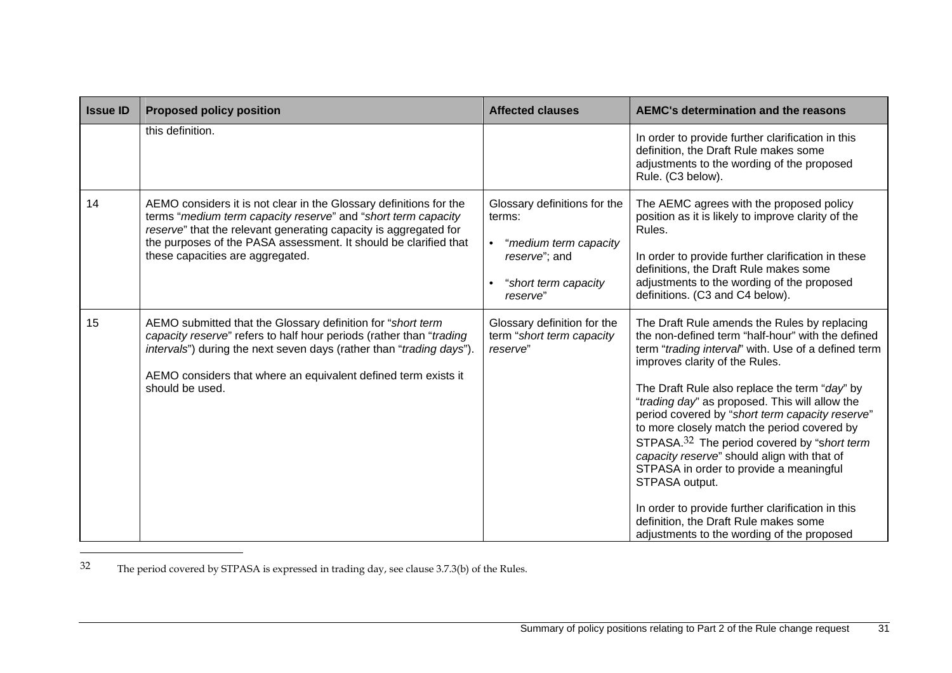| <b>Issue ID</b> | <b>Proposed policy position</b>                                                                                                                                                                                                                                                                                 | <b>Affected clauses</b>                                                                                                           | <b>AEMC's determination and the reasons</b>                                                                                                                                                                                                                                                                                                                                                                                                                                                                                                                                                                                                                                                                        |
|-----------------|-----------------------------------------------------------------------------------------------------------------------------------------------------------------------------------------------------------------------------------------------------------------------------------------------------------------|-----------------------------------------------------------------------------------------------------------------------------------|--------------------------------------------------------------------------------------------------------------------------------------------------------------------------------------------------------------------------------------------------------------------------------------------------------------------------------------------------------------------------------------------------------------------------------------------------------------------------------------------------------------------------------------------------------------------------------------------------------------------------------------------------------------------------------------------------------------------|
|                 | this definition.                                                                                                                                                                                                                                                                                                |                                                                                                                                   | In order to provide further clarification in this<br>definition, the Draft Rule makes some<br>adjustments to the wording of the proposed<br>Rule. (C3 below).                                                                                                                                                                                                                                                                                                                                                                                                                                                                                                                                                      |
| 14              | AEMO considers it is not clear in the Glossary definitions for the<br>terms "medium term capacity reserve" and "short term capacity<br>reserve" that the relevant generating capacity is aggregated for<br>the purposes of the PASA assessment. It should be clarified that<br>these capacities are aggregated. | Glossary definitions for the<br>terms:<br>"medium term capacity<br>$\bullet$<br>reserve"; and<br>"short term capacity<br>reserve" | The AEMC agrees with the proposed policy<br>position as it is likely to improve clarity of the<br>Rules.<br>In order to provide further clarification in these<br>definitions, the Draft Rule makes some<br>adjustments to the wording of the proposed<br>definitions. (C3 and C4 below).                                                                                                                                                                                                                                                                                                                                                                                                                          |
| 15              | AEMO submitted that the Glossary definition for "short term<br>capacity reserve" refers to half hour periods (rather than "trading<br>intervals") during the next seven days (rather than "trading days").<br>AEMO considers that where an equivalent defined term exists it<br>should be used.                 | Glossary definition for the<br>term "short term capacity<br>reserve"                                                              | The Draft Rule amends the Rules by replacing<br>the non-defined term "half-hour" with the defined<br>term "trading interval" with. Use of a defined term<br>improves clarity of the Rules.<br>The Draft Rule also replace the term "day" by<br>"trading day" as proposed. This will allow the<br>period covered by "short term capacity reserve"<br>to more closely match the period covered by<br>STPASA. <sup>32</sup> The period covered by "short term<br>capacity reserve" should align with that of<br>STPASA in order to provide a meaningful<br>STPASA output.<br>In order to provide further clarification in this<br>definition, the Draft Rule makes some<br>adjustments to the wording of the proposed |

32 The period covered by STPASA is expressed in trading day, see clause 3.7.3(b) of the Rules.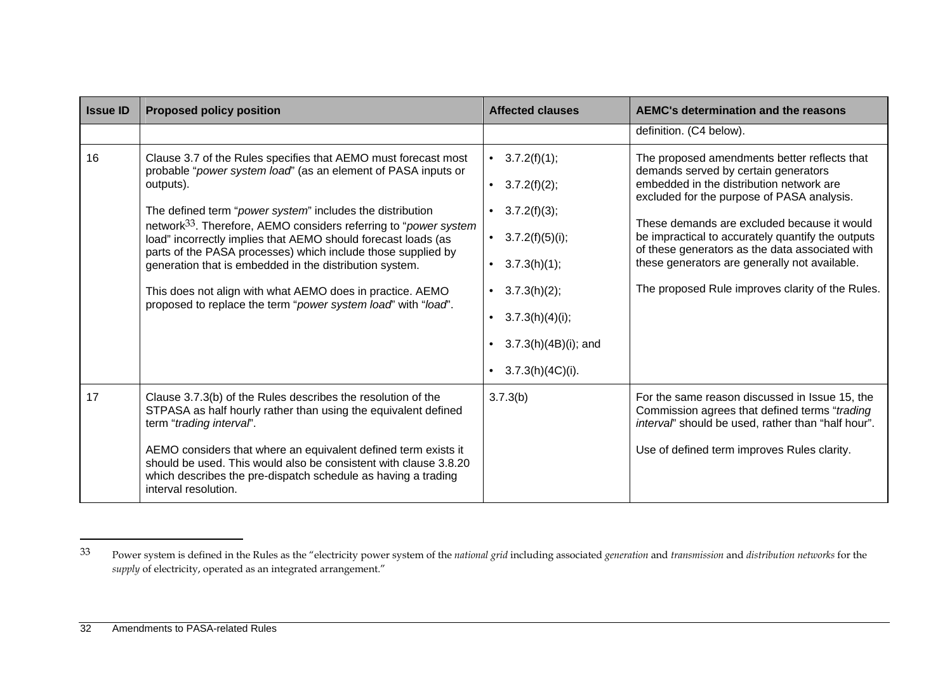| <b>Issue ID</b> | <b>Proposed policy position</b>                                                                                                                                                                                                                                                                                                                                                                                                                                                                                                                                                                                     | <b>Affected clauses</b>                                                                                                                                                                               | <b>AEMC's determination and the reasons</b>                                                                                                                                                                                                                                                                                                                                                                                                |
|-----------------|---------------------------------------------------------------------------------------------------------------------------------------------------------------------------------------------------------------------------------------------------------------------------------------------------------------------------------------------------------------------------------------------------------------------------------------------------------------------------------------------------------------------------------------------------------------------------------------------------------------------|-------------------------------------------------------------------------------------------------------------------------------------------------------------------------------------------------------|--------------------------------------------------------------------------------------------------------------------------------------------------------------------------------------------------------------------------------------------------------------------------------------------------------------------------------------------------------------------------------------------------------------------------------------------|
|                 |                                                                                                                                                                                                                                                                                                                                                                                                                                                                                                                                                                                                                     |                                                                                                                                                                                                       | definition. (C4 below).                                                                                                                                                                                                                                                                                                                                                                                                                    |
| 16              | Clause 3.7 of the Rules specifies that AEMO must forecast most<br>probable "power system load" (as an element of PASA inputs or<br>outputs).<br>The defined term "power system" includes the distribution<br>network <sup>33</sup> . Therefore, AEMO considers referring to "power system<br>load" incorrectly implies that AEMO should forecast loads (as<br>parts of the PASA processes) which include those supplied by<br>generation that is embedded in the distribution system.<br>This does not align with what AEMO does in practice. AEMO<br>proposed to replace the term "power system load" with "load". | • $3.7.2(f)(1);$<br>3.7.2(f)(2);<br>$\bullet$<br>$3.7.2(f)(3)$ ;<br>3.7.2(f)(5)(i);<br>$\bullet$<br>3.7.3(h)(1);<br>3.7.3(h)(2);<br>3.7.3(h)(4)(i);<br>$3.7.3(h)(4B)(i)$ ; and<br>$3.7.3(h)(4C)(i)$ . | The proposed amendments better reflects that<br>demands served by certain generators<br>embedded in the distribution network are<br>excluded for the purpose of PASA analysis.<br>These demands are excluded because it would<br>be impractical to accurately quantify the outputs<br>of these generators as the data associated with<br>these generators are generally not available.<br>The proposed Rule improves clarity of the Rules. |
| 17              | Clause 3.7.3(b) of the Rules describes the resolution of the<br>STPASA as half hourly rather than using the equivalent defined<br>term "trading interval".<br>AEMO considers that where an equivalent defined term exists it<br>should be used. This would also be consistent with clause 3.8.20<br>which describes the pre-dispatch schedule as having a trading<br>interval resolution.                                                                                                                                                                                                                           | 3.7.3(b)                                                                                                                                                                                              | For the same reason discussed in Issue 15, the<br>Commission agrees that defined terms "trading<br>interval' should be used, rather than "half hour".<br>Use of defined term improves Rules clarity.                                                                                                                                                                                                                                       |

<sup>33</sup> Power system is defined in the Rules as the "electricity power system of the *national grid* including associated *generation* and *transmission* and *distribution networks* for the *supply* of electricity, operated as an integrated arrangement."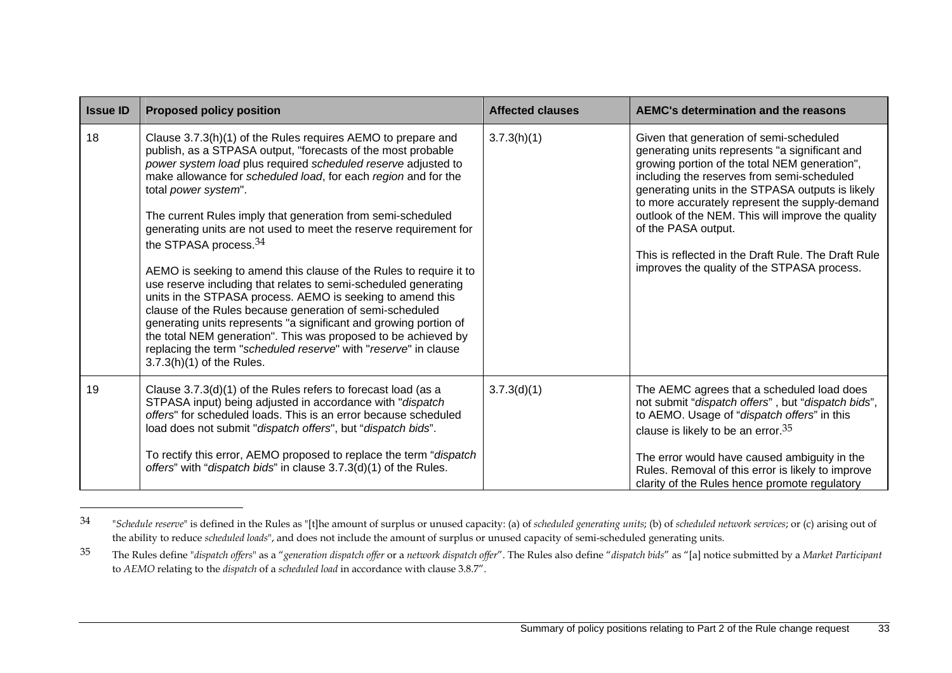| <b>Issue ID</b> | <b>Proposed policy position</b>                                                                                                                                                                                                                                                                                                                                                                                                                                                                                                                                                                                                                                                                                                                                                                                                                                                                                                                                              | <b>Affected clauses</b> | AEMC's determination and the reasons                                                                                                                                                                                                                                                                                                                                                                                                                                             |
|-----------------|------------------------------------------------------------------------------------------------------------------------------------------------------------------------------------------------------------------------------------------------------------------------------------------------------------------------------------------------------------------------------------------------------------------------------------------------------------------------------------------------------------------------------------------------------------------------------------------------------------------------------------------------------------------------------------------------------------------------------------------------------------------------------------------------------------------------------------------------------------------------------------------------------------------------------------------------------------------------------|-------------------------|----------------------------------------------------------------------------------------------------------------------------------------------------------------------------------------------------------------------------------------------------------------------------------------------------------------------------------------------------------------------------------------------------------------------------------------------------------------------------------|
| 18              | Clause 3.7.3(h)(1) of the Rules requires AEMO to prepare and<br>publish, as a STPASA output, "forecasts of the most probable<br>power system load plus required scheduled reserve adjusted to<br>make allowance for scheduled load, for each region and for the<br>total power system".<br>The current Rules imply that generation from semi-scheduled<br>generating units are not used to meet the reserve requirement for<br>the STPASA process. <sup>34</sup><br>AEMO is seeking to amend this clause of the Rules to require it to<br>use reserve including that relates to semi-scheduled generating<br>units in the STPASA process. AEMO is seeking to amend this<br>clause of the Rules because generation of semi-scheduled<br>generating units represents "a significant and growing portion of<br>the total NEM generation". This was proposed to be achieved by<br>replacing the term "scheduled reserve" with "reserve" in clause<br>$3.7.3(h)(1)$ of the Rules. | 3.7.3(h)(1)             | Given that generation of semi-scheduled<br>generating units represents "a significant and<br>growing portion of the total NEM generation",<br>including the reserves from semi-scheduled<br>generating units in the STPASA outputs is likely<br>to more accurately represent the supply-demand<br>outlook of the NEM. This will improve the quality<br>of the PASA output.<br>This is reflected in the Draft Rule. The Draft Rule<br>improves the quality of the STPASA process. |
| 19              | Clause 3.7.3(d)(1) of the Rules refers to forecast load (as a<br>STPASA input) being adjusted in accordance with "dispatch<br>offers" for scheduled loads. This is an error because scheduled<br>load does not submit "dispatch offers", but "dispatch bids".<br>To rectify this error, AEMO proposed to replace the term "dispatch<br>offers" with "dispatch bids" in clause 3.7.3(d)(1) of the Rules.                                                                                                                                                                                                                                                                                                                                                                                                                                                                                                                                                                      | 3.7.3(d)(1)             | The AEMC agrees that a scheduled load does<br>not submit "dispatch offers", but "dispatch bids",<br>to AEMO. Usage of "dispatch offers" in this<br>clause is likely to be an error. $35$<br>The error would have caused ambiguity in the<br>Rules. Removal of this error is likely to improve<br>clarity of the Rules hence promote regulatory                                                                                                                                   |

<sup>34 &</sup>quot;*Schedule reserve*" is defined in the Rules as "[t]he amount of surplus or unused capacity: (a) of *scheduled generating units*; (b) of *scheduled network services*; or (c) arising out of the ability to reduce *scheduled loads*", and does not include the amount of surplus or unused capacity of semi-scheduled generating units.

<sup>&</sup>lt;sup>35</sup> The Rules define "dispatch offers" as a "generation dispatch offer or a network dispatch offer". The Rules also define "dispatch bids" as "[a] notice submitted by a Market Participant to *AEMO* relating to the *dispatch* of a *scheduled load* in accordance with clause 3.8.7".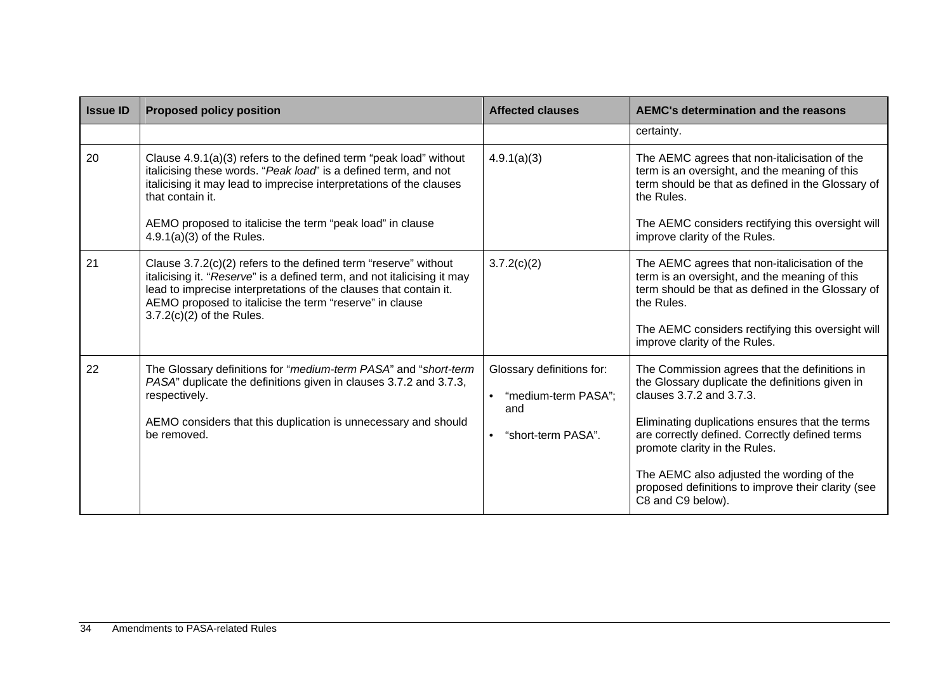| <b>Issue ID</b> | <b>Proposed policy position</b>                                                                                                                                                                                                                                                                                             | <b>Affected clauses</b>                                                                                 | <b>AEMC's determination and the reasons</b>                                                                                                                                                                                                                                                                                                                                                |
|-----------------|-----------------------------------------------------------------------------------------------------------------------------------------------------------------------------------------------------------------------------------------------------------------------------------------------------------------------------|---------------------------------------------------------------------------------------------------------|--------------------------------------------------------------------------------------------------------------------------------------------------------------------------------------------------------------------------------------------------------------------------------------------------------------------------------------------------------------------------------------------|
|                 |                                                                                                                                                                                                                                                                                                                             |                                                                                                         | certainty.                                                                                                                                                                                                                                                                                                                                                                                 |
| 20              | Clause 4.9.1(a)(3) refers to the defined term "peak load" without<br>italicising these words. "Peak load" is a defined term, and not<br>italicising it may lead to imprecise interpretations of the clauses<br>that contain it.<br>AEMO proposed to italicise the term "peak load" in clause<br>$4.9.1(a)(3)$ of the Rules. | 4.9.1(a)(3)                                                                                             | The AEMC agrees that non-italicisation of the<br>term is an oversight, and the meaning of this<br>term should be that as defined in the Glossary of<br>the Rules.<br>The AEMC considers rectifying this oversight will<br>improve clarity of the Rules.                                                                                                                                    |
| 21              | Clause 3.7.2(c)(2) refers to the defined term "reserve" without<br>italicising it. "Reserve" is a defined term, and not italicising it may<br>lead to imprecise interpretations of the clauses that contain it.<br>AEMO proposed to italicise the term "reserve" in clause<br>$3.7.2(c)(2)$ of the Rules.                   | 3.7.2(c)(2)                                                                                             | The AEMC agrees that non-italicisation of the<br>term is an oversight, and the meaning of this<br>term should be that as defined in the Glossary of<br>the Rules.<br>The AEMC considers rectifying this oversight will<br>improve clarity of the Rules.                                                                                                                                    |
| 22              | The Glossary definitions for "medium-term PASA" and "short-term<br>PASA" duplicate the definitions given in clauses 3.7.2 and 3.7.3,<br>respectively.<br>AEMO considers that this duplication is unnecessary and should<br>be removed.                                                                                      | Glossary definitions for:<br>"medium-term PASA";<br>$\bullet$<br>and<br>"short-term PASA".<br>$\bullet$ | The Commission agrees that the definitions in<br>the Glossary duplicate the definitions given in<br>clauses 3.7.2 and 3.7.3.<br>Eliminating duplications ensures that the terms<br>are correctly defined. Correctly defined terms<br>promote clarity in the Rules.<br>The AEMC also adjusted the wording of the<br>proposed definitions to improve their clarity (see<br>C8 and C9 below). |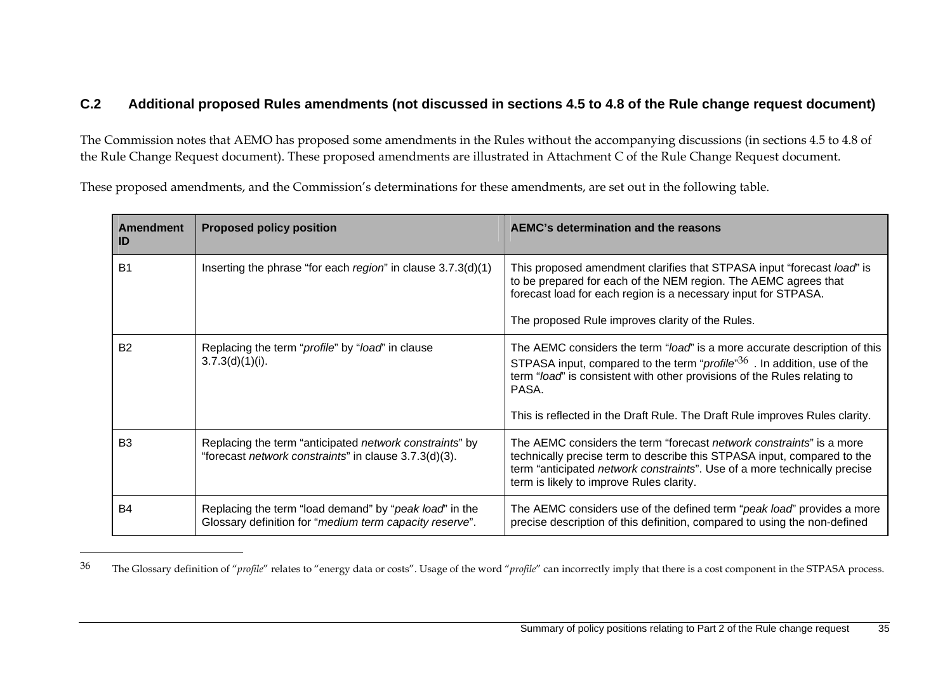#### **C.2 Additional proposed Rules amendments (not discussed in sections 4.5 to 4.8 of the Rule change request document)**

The Commission notes that AEMO has proposed some amendments in the Rules without the accompanying discussions (in sections 4.5 to 4.8 of the Rule Change Request document). These proposed amendments are illustrated in Attachment C of the Rule Change Request document.

These proposed amendments, and the Commission's determinations for these amendments, are set out in the following table.

| <b>Amendment</b><br>ID | <b>Proposed policy position</b>                                                                                   | AEMC's determination and the reasons                                                                                                                                                                                                                                                                                                           |
|------------------------|-------------------------------------------------------------------------------------------------------------------|------------------------------------------------------------------------------------------------------------------------------------------------------------------------------------------------------------------------------------------------------------------------------------------------------------------------------------------------|
| <b>B1</b>              | Inserting the phrase "for each region" in clause 3.7.3(d)(1)                                                      | This proposed amendment clarifies that STPASA input "forecast load" is<br>to be prepared for each of the NEM region. The AEMC agrees that<br>forecast load for each region is a necessary input for STPASA.<br>The proposed Rule improves clarity of the Rules.                                                                                |
| <b>B2</b>              | Replacing the term "profile" by "load" in clause<br>3.7.3(d)(1)(i).                                               | The AEMC considers the term "load" is a more accurate description of this<br>STPASA input, compared to the term " <i>profile</i> " <sup>36</sup> . In addition, use of the<br>term "load" is consistent with other provisions of the Rules relating to<br>PASA.<br>This is reflected in the Draft Rule. The Draft Rule improves Rules clarity. |
| B <sub>3</sub>         | Replacing the term "anticipated network constraints" by<br>"forecast network constraints" in clause 3.7.3(d)(3).  | The AEMC considers the term "forecast <i>network constraints</i> " is a more<br>technically precise term to describe this STPASA input, compared to the<br>term "anticipated network constraints". Use of a more technically precise<br>term is likely to improve Rules clarity.                                                               |
| B <sub>4</sub>         | Replacing the term "load demand" by "peak load" in the<br>Glossary definition for "medium term capacity reserve". | The AEMC considers use of the defined term "peak load" provides a more<br>precise description of this definition, compared to using the non-defined                                                                                                                                                                                            |

<sup>&</sup>lt;sup>36</sup> The Glossary definition of "*profile*" relates to "energy data or costs". Usage of the word "*profile*" can incorrectly imply that there is a cost component in the STPASA process.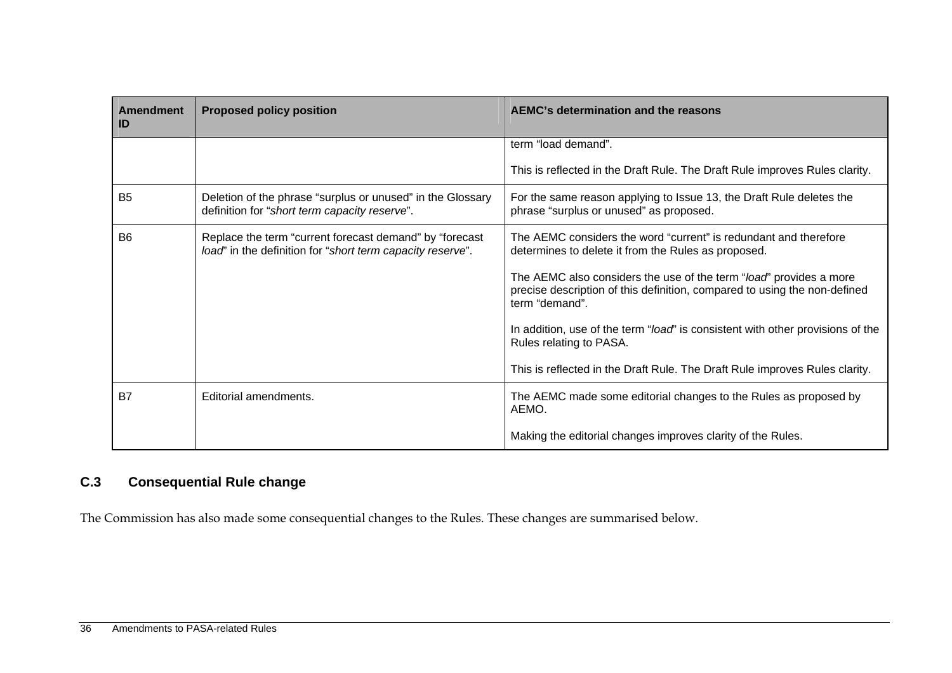| <b>Amendment</b><br>ID | <b>Proposed policy position</b>                                                                                       | AEMC's determination and the reasons                                                                                                                              |
|------------------------|-----------------------------------------------------------------------------------------------------------------------|-------------------------------------------------------------------------------------------------------------------------------------------------------------------|
|                        |                                                                                                                       | term "load demand".                                                                                                                                               |
|                        |                                                                                                                       | This is reflected in the Draft Rule. The Draft Rule improves Rules clarity.                                                                                       |
| <b>B5</b>              | Deletion of the phrase "surplus or unused" in the Glossary<br>definition for "short term capacity reserve".           | For the same reason applying to Issue 13, the Draft Rule deletes the<br>phrase "surplus or unused" as proposed.                                                   |
| <b>B6</b>              | Replace the term "current forecast demand" by "forecast<br>load" in the definition for "short term capacity reserve". | The AEMC considers the word "current" is redundant and therefore<br>determines to delete it from the Rules as proposed.                                           |
|                        |                                                                                                                       | The AEMC also considers the use of the term "load" provides a more<br>precise description of this definition, compared to using the non-defined<br>term "demand". |
|                        |                                                                                                                       | In addition, use of the term "load" is consistent with other provisions of the<br>Rules relating to PASA.                                                         |
|                        |                                                                                                                       | This is reflected in the Draft Rule. The Draft Rule improves Rules clarity.                                                                                       |
| <b>B7</b>              | Editorial amendments.                                                                                                 | The AEMC made some editorial changes to the Rules as proposed by<br>AEMO.                                                                                         |
|                        |                                                                                                                       | Making the editorial changes improves clarity of the Rules.                                                                                                       |

## **C.3 Consequential Rule change**

The Commission has also made some consequential changes to the Rules. These changes are summarised below.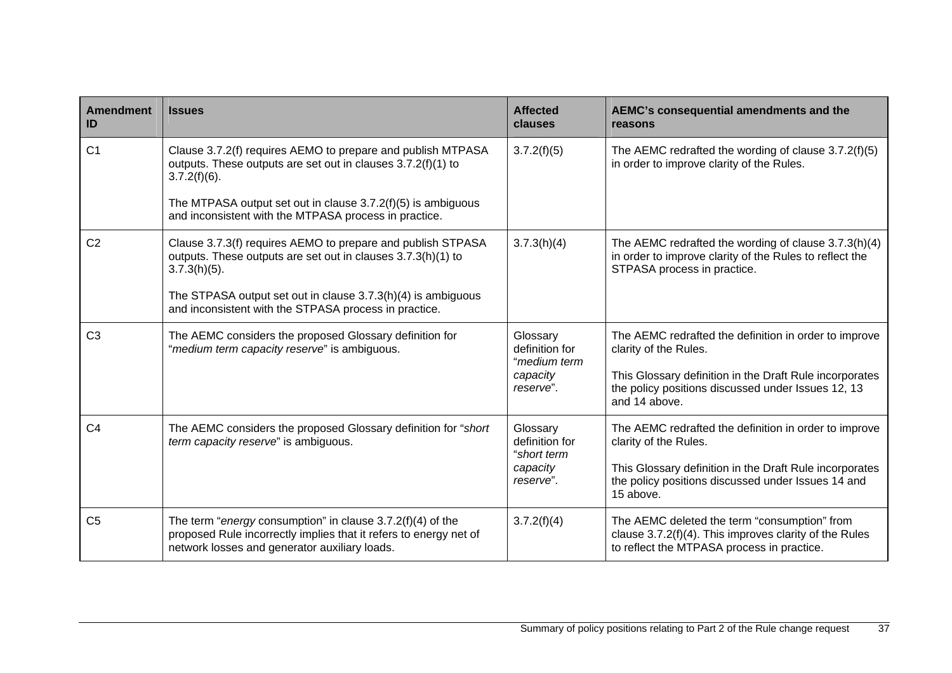| Amendment<br>ID | <b>Issues</b>                                                                                                                                                                      | <b>Affected</b><br>clauses                                          | AEMC's consequential amendments and the<br>reasons                                                                                                                                                               |
|-----------------|------------------------------------------------------------------------------------------------------------------------------------------------------------------------------------|---------------------------------------------------------------------|------------------------------------------------------------------------------------------------------------------------------------------------------------------------------------------------------------------|
| C <sub>1</sub>  | Clause 3.7.2(f) requires AEMO to prepare and publish MTPASA<br>outputs. These outputs are set out in clauses 3.7.2(f)(1) to<br>$3.7.2(f)(6)$ .                                     | 3.7.2(f)(5)                                                         | The AEMC redrafted the wording of clause 3.7.2(f)(5)<br>in order to improve clarity of the Rules.                                                                                                                |
|                 | The MTPASA output set out in clause $3.7.2(f)(5)$ is ambiguous<br>and inconsistent with the MTPASA process in practice.                                                            |                                                                     |                                                                                                                                                                                                                  |
| C <sub>2</sub>  | Clause 3.7.3(f) requires AEMO to prepare and publish STPASA<br>outputs. These outputs are set out in clauses 3.7.3(h)(1) to<br>$3.7.3(h)(5)$ .                                     | 3.7.3(h)(4)                                                         | The AEMC redrafted the wording of clause 3.7.3(h)(4)<br>in order to improve clarity of the Rules to reflect the<br>STPASA process in practice.                                                                   |
|                 | The STPASA output set out in clause 3.7.3(h)(4) is ambiguous<br>and inconsistent with the STPASA process in practice.                                                              |                                                                     |                                                                                                                                                                                                                  |
| C <sub>3</sub>  | The AEMC considers the proposed Glossary definition for<br>"medium term capacity reserve" is ambiguous.                                                                            | Glossary<br>definition for<br>"medium term<br>capacity<br>reserve". | The AEMC redrafted the definition in order to improve<br>clarity of the Rules.<br>This Glossary definition in the Draft Rule incorporates<br>the policy positions discussed under Issues 12, 13<br>and 14 above. |
| C <sub>4</sub>  | The AEMC considers the proposed Glossary definition for "short<br>term capacity reserve" is ambiguous.                                                                             | Glossary<br>definition for<br>"short term<br>capacity<br>reserve".  | The AEMC redrafted the definition in order to improve<br>clarity of the Rules.<br>This Glossary definition in the Draft Rule incorporates<br>the policy positions discussed under Issues 14 and<br>15 above.     |
| C <sub>5</sub>  | The term "energy consumption" in clause $3.7.2(f)(4)$ of the<br>proposed Rule incorrectly implies that it refers to energy net of<br>network losses and generator auxiliary loads. | 3.7.2(f)(4)                                                         | The AEMC deleted the term "consumption" from<br>clause 3.7.2(f)(4). This improves clarity of the Rules<br>to reflect the MTPASA process in practice.                                                             |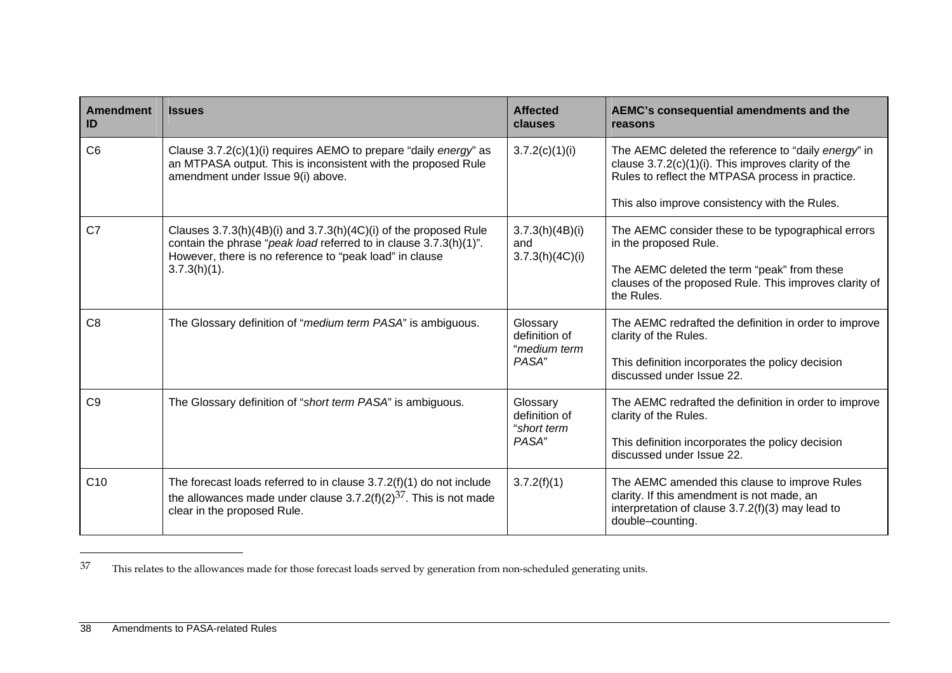| <b>Amendment</b><br>ID | <b>Issues</b>                                                                                                                                                                                    | <b>Affected</b><br>clauses                | AEMC's consequential amendments and the<br>reasons                                                                                                                    |
|------------------------|--------------------------------------------------------------------------------------------------------------------------------------------------------------------------------------------------|-------------------------------------------|-----------------------------------------------------------------------------------------------------------------------------------------------------------------------|
| C <sub>6</sub>         | Clause 3.7.2(c)(1)(i) requires AEMO to prepare "daily energy" as<br>an MTPASA output. This is inconsistent with the proposed Rule<br>amendment under Issue 9(i) above.                           | 3.7.2(c)(1)(i)                            | The AEMC deleted the reference to "daily energy" in<br>clause $3.7.2(c)(1)(i)$ . This improves clarity of the<br>Rules to reflect the MTPASA process in practice.     |
|                        |                                                                                                                                                                                                  |                                           | This also improve consistency with the Rules.                                                                                                                         |
| C <sub>7</sub>         | Clauses 3.7.3(h)(4B)(i) and 3.7.3(h)(4C)(i) of the proposed Rule<br>contain the phrase "peak load referred to in clause 3.7.3(h)(1)".<br>However, there is no reference to "peak load" in clause | 3.7.3(h)(4B)(i)<br>and<br>3.7.3(h)(4C)(i) | The AEMC consider these to be typographical errors<br>in the proposed Rule.                                                                                           |
|                        | $3.7.3(h)(1)$ .                                                                                                                                                                                  |                                           | The AEMC deleted the term "peak" from these<br>clauses of the proposed Rule. This improves clarity of<br>the Rules.                                                   |
| C <sub>8</sub>         | The Glossary definition of "medium term PASA" is ambiguous.                                                                                                                                      | Glossary<br>definition of<br>"medium term | The AEMC redrafted the definition in order to improve<br>clarity of the Rules.                                                                                        |
|                        |                                                                                                                                                                                                  | PASA"                                     | This definition incorporates the policy decision<br>discussed under Issue 22.                                                                                         |
| C <sub>9</sub>         | The Glossary definition of "short term PASA" is ambiguous.                                                                                                                                       | Glossary<br>definition of<br>"short term  | The AEMC redrafted the definition in order to improve<br>clarity of the Rules.                                                                                        |
|                        |                                                                                                                                                                                                  | PASA"                                     | This definition incorporates the policy decision<br>discussed under Issue 22.                                                                                         |
| C10                    | The forecast loads referred to in clause $3.7.2(f)(1)$ do not include<br>the allowances made under clause $3.7.2(f)(2)^{37}$ . This is not made<br>clear in the proposed Rule.                   | 3.7.2(f)(1)                               | The AEMC amended this clause to improve Rules<br>clarity. If this amendment is not made, an<br>interpretation of clause $3.7.2(f)(3)$ may lead to<br>double-counting. |

<sup>37</sup> This relates to the allowances made for those forecast loads served by generation from non-scheduled generating units.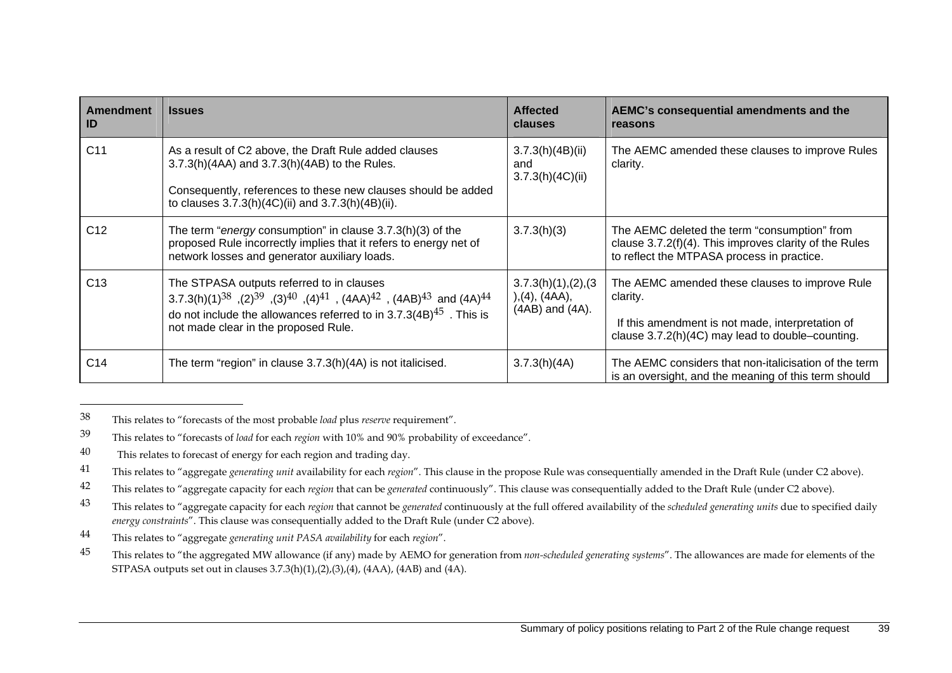| Amendment<br>ID | <b>Issues</b>                                                                                                                                                                                                                                                                                                         | <b>Affected</b><br><b>clauses</b>                          | AEMC's consequential amendments and the<br>reasons                                                                                                                 |
|-----------------|-----------------------------------------------------------------------------------------------------------------------------------------------------------------------------------------------------------------------------------------------------------------------------------------------------------------------|------------------------------------------------------------|--------------------------------------------------------------------------------------------------------------------------------------------------------------------|
| C <sub>11</sub> | As a result of C2 above, the Draft Rule added clauses<br>3.7.3(h)(4AA) and 3.7.3(h)(4AB) to the Rules.<br>Consequently, references to these new clauses should be added<br>to clauses 3.7.3(h)(4C)(ii) and 3.7.3(h)(4B)(ii).                                                                                          | 3.7.3(h)(4B)(ii)<br>and<br>3.7.3(h)(4C)(ii)                | The AEMC amended these clauses to improve Rules<br>clarity.                                                                                                        |
| C <sub>12</sub> | The term "energy consumption" in clause 3.7.3(h)(3) of the<br>proposed Rule incorrectly implies that it refers to energy net of<br>network losses and generator auxiliary loads.                                                                                                                                      | 3.7.3(h)(3)                                                | The AEMC deleted the term "consumption" from<br>clause $3.7.2(f)(4)$ . This improves clarity of the Rules<br>to reflect the MTPASA process in practice.            |
| C <sub>13</sub> | The STPASA outputs referred to in clauses<br>3.7.3(h)(1) <sup>38</sup> ,(2) <sup>39</sup> ,(3) <sup>40</sup> ,(4) <sup>41</sup> , (4AA) <sup>42</sup> , (4AB) <sup>43</sup> and (4A) <sup>44</sup><br>do not include the allowances referred to in $3.7.3(4B)^{45}$ . This is<br>not made clear in the proposed Rule. | 3.7.3(h)(1), (2), (3)<br>), (4), (4AA),<br>(4AB) and (4A). | The AEMC amended these clauses to improve Rule<br>clarity.<br>If this amendment is not made, interpretation of<br>clause 3.7.2(h)(4C) may lead to double-counting. |
| C14             | The term "region" in clause 3.7.3(h)(4A) is not italicised.                                                                                                                                                                                                                                                           | 3.7.3(h)(4A)                                               | The AEMC considers that non-italicisation of the term<br>is an oversight, and the meaning of this term should                                                      |

<sup>38</sup> This relates to "forecasts of the most probable *load* plus *reserve* requirement".

<sup>39</sup> This relates to "forecasts of *load* for each *region* with 10% and 90% probability of exceedance".

<sup>40</sup> This relates to forecast of energy for each region and trading day.

<sup>41</sup> This relates to "aggregate *generating unit* availability for each *region*". This clause in the propose Rule was consequentially amended in the Draft Rule (under C2 above).

<sup>42</sup> This relates to "aggregate capacity for each *region* that can be *generated* continuously". This clause was consequentially added to the Draft Rule (under C2 above).

<sup>43</sup> This relates to "aggregate capacity for each *region* that cannot be *generated* continuously at the full offered availability of the *scheduled generating units* due to specified daily *energy constraints*". This clause was consequentially added to the Draft Rule (under C2 above).

<sup>44</sup> This relates to "aggregate *generating unit PASA availability* for each *region*".

<sup>&</sup>lt;sup>45</sup> This relates to "the aggregated MW allowance (if any) made by AEMO for generation from *non-scheduled generating systems*". The allowances are made for elements of the STPASA outputs set out in clauses 3.7.3(h)(1),(2),(3),(4), (4AA), (4AB) and (4A).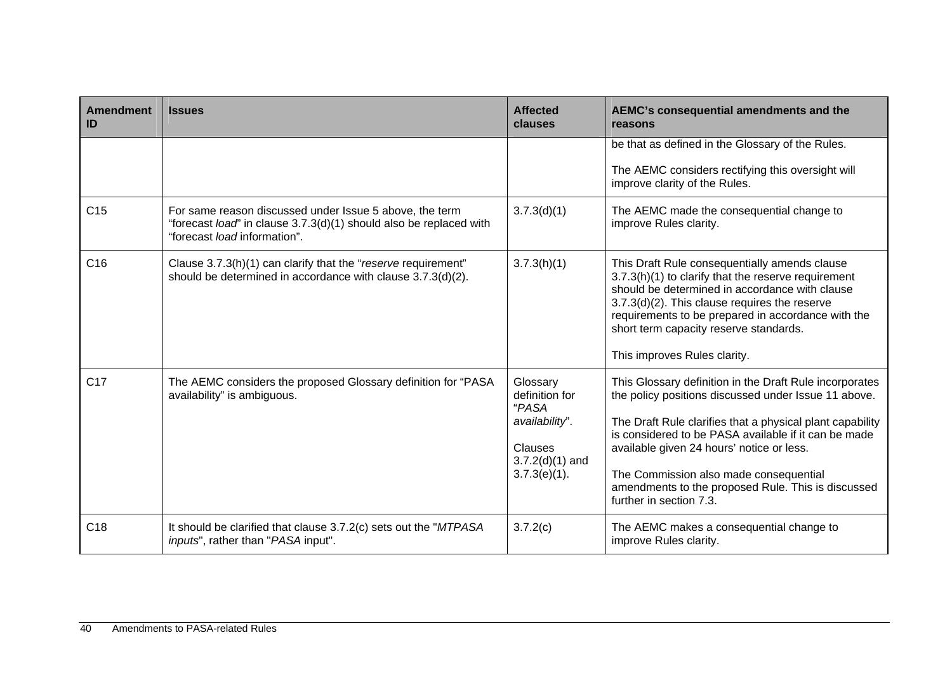| <b>Amendment</b><br>ID | <b>Issues</b>                                                                                                                                                 | <b>Affected</b><br>clauses                                                                                      | AEMC's consequential amendments and the<br>reasons                                                                                                                                                                                                                                                                                                                                                           |
|------------------------|---------------------------------------------------------------------------------------------------------------------------------------------------------------|-----------------------------------------------------------------------------------------------------------------|--------------------------------------------------------------------------------------------------------------------------------------------------------------------------------------------------------------------------------------------------------------------------------------------------------------------------------------------------------------------------------------------------------------|
|                        |                                                                                                                                                               |                                                                                                                 | be that as defined in the Glossary of the Rules.<br>The AEMC considers rectifying this oversight will<br>improve clarity of the Rules.                                                                                                                                                                                                                                                                       |
| C <sub>15</sub>        | For same reason discussed under Issue 5 above, the term<br>"forecast load" in clause 3.7.3(d)(1) should also be replaced with<br>"forecast load information". | 3.7.3(d)(1)                                                                                                     | The AEMC made the consequential change to<br>improve Rules clarity.                                                                                                                                                                                                                                                                                                                                          |
| C16                    | Clause 3.7.3(h)(1) can clarify that the "reserve requirement"<br>should be determined in accordance with clause 3.7.3(d)(2).                                  | 3.7.3(h)(1)                                                                                                     | This Draft Rule consequentially amends clause<br>3.7.3(h)(1) to clarify that the reserve requirement<br>should be determined in accordance with clause<br>$3.7.3(d)(2)$ . This clause requires the reserve<br>requirements to be prepared in accordance with the<br>short term capacity reserve standards.<br>This improves Rules clarity.                                                                   |
| C <sub>17</sub>        | The AEMC considers the proposed Glossary definition for "PASA<br>availability" is ambiguous.                                                                  | Glossary<br>definition for<br>"PASA<br>availability".<br><b>Clauses</b><br>$3.7.2(d)(1)$ and<br>$3.7.3(e)(1)$ . | This Glossary definition in the Draft Rule incorporates<br>the policy positions discussed under Issue 11 above.<br>The Draft Rule clarifies that a physical plant capability<br>is considered to be PASA available if it can be made<br>available given 24 hours' notice or less.<br>The Commission also made consequential<br>amendments to the proposed Rule. This is discussed<br>further in section 7.3. |
| C <sub>18</sub>        | It should be clarified that clause 3.7.2(c) sets out the "MTPASA<br>inputs", rather than "PASA input".                                                        | 3.7.2(c)                                                                                                        | The AEMC makes a consequential change to<br>improve Rules clarity.                                                                                                                                                                                                                                                                                                                                           |